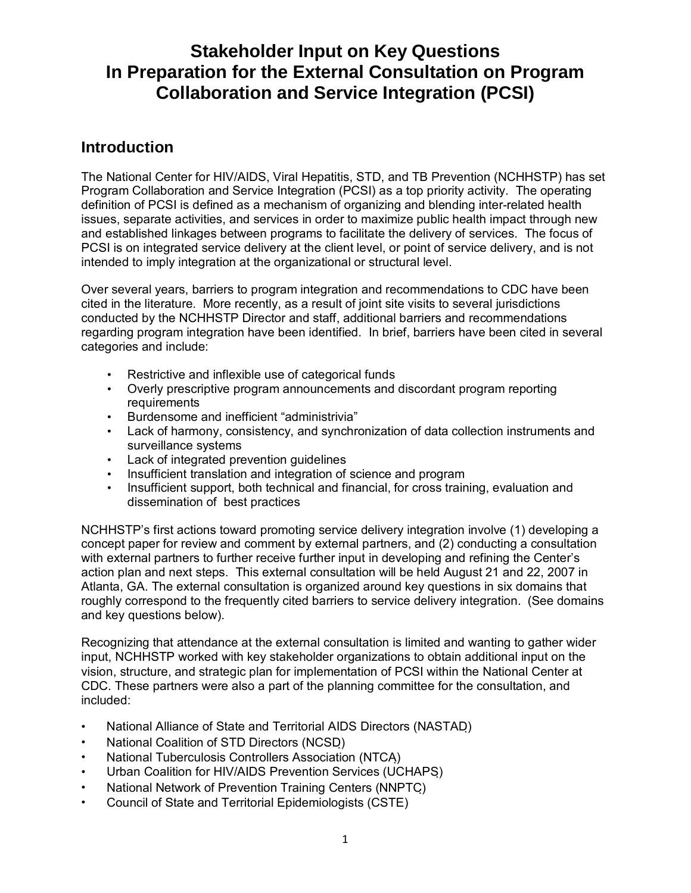# **Stakeholder Input on Key Questions In Preparation for the External Consultation on Program Collaboration and Service Integration (PCSI)**

# **Introduction**

The National Center for HIV/AIDS, Viral Hepatitis, STD, and TB Prevention (NCHHSTP) has set Program Collaboration and Service Integration (PCSI) as a top priority activity. The operating definition of PCSI is defined as a mechanism of organizing and blending inter-related health issues, separate activities, and services in order to maximize public health impact through new and established linkages between programs to facilitate the delivery of services. The focus of PCSI is on integrated service delivery at the client level, or point of service delivery, and is not intended to imply integration at the organizational or structural level.

Over several years, barriers to program integration and recommendations to CDC have been cited in the literature. More recently, as a result of joint site visits to several jurisdictions conducted by the NCHHSTP Director and staff, additional barriers and recommendations regarding program integration have been identified. In brief, barriers have been cited in several categories and include:

- Restrictive and inflexible use of categorical funds
- Overly prescriptive program announcements and discordant program reporting requirements
- Burdensome and inefficient "administrivia"
- Lack of harmony, consistency, and synchronization of data collection instruments and surveillance systems
- Lack of integrated prevention quidelines
- Insufficient translation and integration of science and program
- Insufficient support, both technical and financial, for cross training, evaluation and dissemination of best practices

NCHHSTP's first actions toward promoting service delivery integration involve (1) developing a concept paper for review and comment by external partners, and (2) conducting a consultation with external partners to further receive further input in developing and refining the Center's action plan and next steps. This external consultation will be held August 21 and 22, 2007 in Atlanta, GA. The external consultation is organized around key questions in six domains that roughly correspond to the frequently cited barriers to service delivery integration. (See domains and key questions below).

Recognizing that attendance at the external consultation is limited and wanting to gather wider input, NCHHSTP worked with key stakeholder organizations to obtain additional input on the vision, structure, and strategic plan for implementation of PCSI within the National Center at CDC. These partners were also a part of the planning committee for the consultation, and included:

- National Alliance of State and Territorial AIDS Directors (NASTAD)
- National Coalition of STD Directors (NCSD)
- National Tuberculosis Controllers Association (NTCA)
- Urban Coalition for HIV/AIDS Prevention Services (UCHAPS)
- National Network of Prevention Training Centers (NNPTC)
- Council of State and Territorial Epidemiologists (CSTE)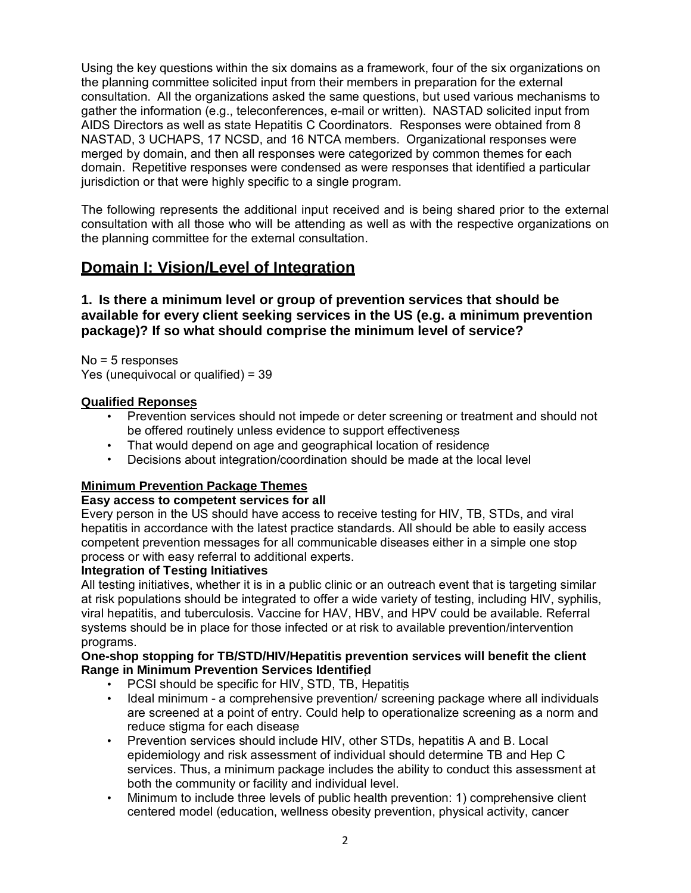Using the key questions within the six domains as a framework, four of the six organizations on the planning committee solicited input from their members in preparation for the external consultation. All the organizations asked the same questions, but used various mechanisms to gather the information (e.g., teleconferences, e-mail or written). NASTAD solicited input from AIDS Directors as well as state Hepatitis C Coordinators. Responses were obtained from 8 NASTAD, 3 UCHAPS, 17 NCSD, and 16 NTCA members. Organizational responses were merged by domain, and then all responses were categorized by common themes for each domain. Repetitive responses were condensed as were responses that identified a particular jurisdiction or that were highly specific to a single program.

The following represents the additional input received and is being shared prior to the external consultation with all those who will be attending as well as with the respective organizations on the planning committee for the external consultation.

## **Domain I: Vision/Level of Integration**

### **1. Is there a minimum level or group of prevention services that should be available for every client seeking services in the US (e.g. a minimum prevention package)? If so what should comprise the minimum level of service?**

No = 5 responses Yes (unequivocal or qualified) = 39

#### **Qualified Reponses**

- Prevention services should not impede or deter screening or treatment and should not be offered routinely unless evidence to support effectiveness
- That would depend on age and geographical location of residence
- Decisions about integration/coordination should be made at the local level

### **Minimum Prevention Package Themes**

#### **Easy access to competent services for all**

Every person in the US should have access to receive testing for HIV, TB, STDs, and viral hepatitis in accordance with the latest practice standards. All should be able to easily access competent prevention messages for all communicable diseases either in a simple one stop process or with easy referral to additional experts.

#### **Integration of Testing Initiatives**

All testing initiatives, whether it is in a public clinic or an outreach event that is targeting similar at risk populations should be integrated to offer a wide variety of testing, including HIV, syphilis, viral hepatitis, and tuberculosis. Vaccine for HAV, HBV, and HPV could be available. Referral systems should be in place for those infected or at risk to available prevention/intervention programs.

#### **One-shop stopping for TB/STD/HIV/Hepatitis prevention services will benefit the client Range in Minimum Prevention Services Identified**

- PCSI should be specific for HIV, STD, TB, Hepatitis
- Ideal minimum a comprehensive prevention/ screening package where all individuals are screened at a point of entry. Could help to operationalize screening as a norm and reduce stigma for each disease
- Prevention services should include HIV, other STDs, hepatitis A and B. Local epidemiology and risk assessment of individual should determine TB and Hep C services. Thus, a minimum package includes the ability to conduct this assessment at both the community or facility and individual level.
- Minimum to include three levels of public health prevention: 1) comprehensive client centered model (education, wellness obesity prevention, physical activity, cancer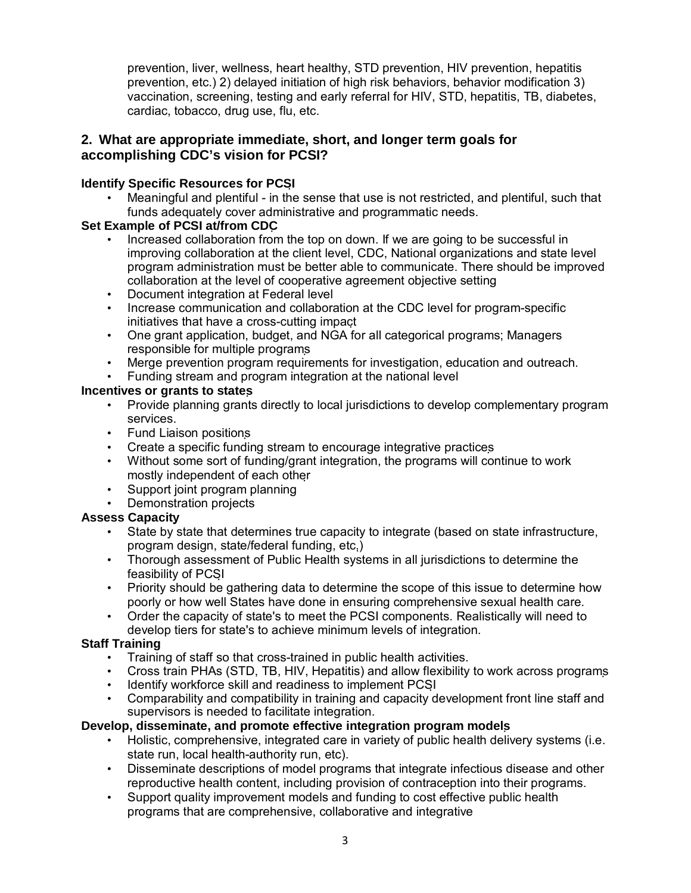prevention, liver, wellness, heart healthy, STD prevention, HIV prevention, hepatitis prevention, etc.) 2) delayed initiation of high risk behaviors, behavior modification 3) vaccination, screening, testing and early referral for HIV, STD, hepatitis, TB, diabetes, cardiac, tobacco, drug use, flu, etc.

### **2. What are appropriate immediate, short, and longer term goals for accomplishing CDC's vision for PCSI?**

### **Identify Specific Resources for PCSI**

• Meaningful and plentiful - in the sense that use is not restricted, and plentiful, such that funds adequately cover administrative and programmatic needs.

## **Set Example of PCSI at/from CDC**

- Increased collaboration from the top on down. If we are going to be successful in improving collaboration at the client level, CDC, National organizations and state level program administration must be better able to communicate. There should be improved collaboration at the level of cooperative agreement objective setting
- Document integration at Federal level
- Increase communication and collaboration at the CDC level for program-specific initiatives that have a cross-cutting impact
- One grant application, budget, and NGA for all categorical programs; Managers responsible for multiple programs
- Merge prevention program requirements for investigation, education and outreach.
- Funding stream and program integration at the national level

### **Incentives or grants to states**

- Provide planning grants directly to local jurisdictions to develop complementary program services.
- Fund Liaison positions
- Create a specific funding stream to encourage integrative practices
- Without some sort of funding/grant integration, the programs will continue to work mostly independent of each other
- Support joint program planning
- Demonstration projects

### **Assess Capacity**

- State by state that determines true capacity to integrate (based on state infrastructure, program design, state/federal funding, etc.)
- Thorough assessment of Public Health systems in all jurisdictions to determine the feasibility of PCSI
- Priority should be gathering data to determine the scope of this issue to determine how poorly or how well States have done in ensuring comprehensive sexual health care.
- Order the capacity of state's to meet the PCSI components. Realistically will need to develop tiers for state's to achieve minimum levels of integration.

### **Staff Training**

- Training of staff so that cross-trained in public health activities.
- Cross train PHAs (STD, TB, HIV, Hepatitis) and allow flexibility to work across programs
- Identify workforce skill and readiness to implement PCSI
- Comparability and compatibility in training and capacity development front line staff and supervisors is needed to facilitate integration.

#### **Develop, disseminate, and promote effective integration program models**

- Holistic, comprehensive, integrated care in variety of public health delivery systems (i.e. state run, local health-authority run, etc).
- Disseminate descriptions of model programs that integrate infectious disease and other reproductive health content, including provision of contraception into their programs.
- Support quality improvement models and funding to cost effective public health programs that are comprehensive, collaborative and integrative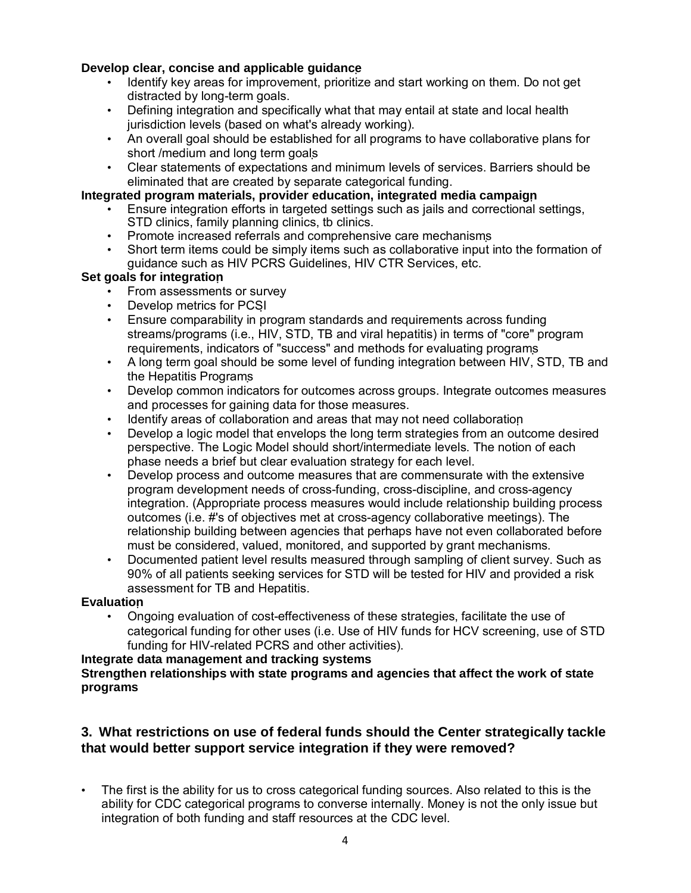### **Develop clear, concise and applicable guidance**

- Identify key areas for improvement, prioritize and start working on them. Do not get distracted by long-term goals.
- Defining integration and specifically what that may entail at state and local health jurisdiction levels (based on what's already working).
- An overall goal should be established for all programs to have collaborative plans for short /medium and long term goals
- Clear statements of expectations and minimum levels of services. Barriers should be eliminated that are created by separate categorical funding.

#### **Integrated program materials, provider education, integrated media campaign**

- Ensure integration efforts in targeted settings such as jails and correctional settings, STD clinics, family planning clinics, tb clinics.
- Promote increased referrals and comprehensive care mechanisms
- Short term items could be simply items such as collaborative input into the formation of guidance such as HIV PCRS Guidelines, HIV CTR Services, etc.

#### **Set goals for integration**

- From assessments or survey
- Develop metrics for PCSI
- Ensure comparability in program standards and requirements across funding streams/programs (i.e., HIV, STD, TB and viral hepatitis) in terms of "core" program requirements, indicators of "success" and methods for evaluating programs
- A long term goal should be some level of funding integration between HIV, STD, TB and the Hepatitis Programs
- Develop common indicators for outcomes across groups. Integrate outcomes measures and processes for gaining data for those measures.
- Identify areas of collaboration and areas that may not need collaboration
- Develop a logic model that envelops the long term strategies from an outcome desired perspective. The Logic Model should short/intermediate levels. The notion of each phase needs a brief but clear evaluation strategy for each level.
- Develop process and outcome measures that are commensurate with the extensive program development needs of cross-funding, cross-discipline, and cross-agency integration. (Appropriate process measures would include relationship building process outcomes (i.e. #'s of objectives met at cross-agency collaborative meetings). The relationship building between agencies that perhaps have not even collaborated before must be considered, valued, monitored, and supported by grant mechanisms.
- Documented patient level results measured through sampling of client survey. Such as 90% of all patients seeking services for STD will be tested for HIV and provided a risk assessment for TB and Hepatitis.

#### **Evaluation**

• Ongoing evaluation of cost-effectiveness of these strategies, facilitate the use of categorical funding for other uses (i.e. Use of HIV funds for HCV screening, use of STD funding for HIV-related PCRS and other activities).

#### **Integrate data management and tracking systems**

#### **Strengthen relationships with state programs and agencies that affect the work of state programs**

### **3. What restrictions on use of federal funds should the Center strategically tackle that would better support service integration if they were removed?**

• The first is the ability for us to cross categorical funding sources. Also related to this is the ability for CDC categorical programs to converse internally. Money is not the only issue but integration of both funding and staff resources at the CDC level.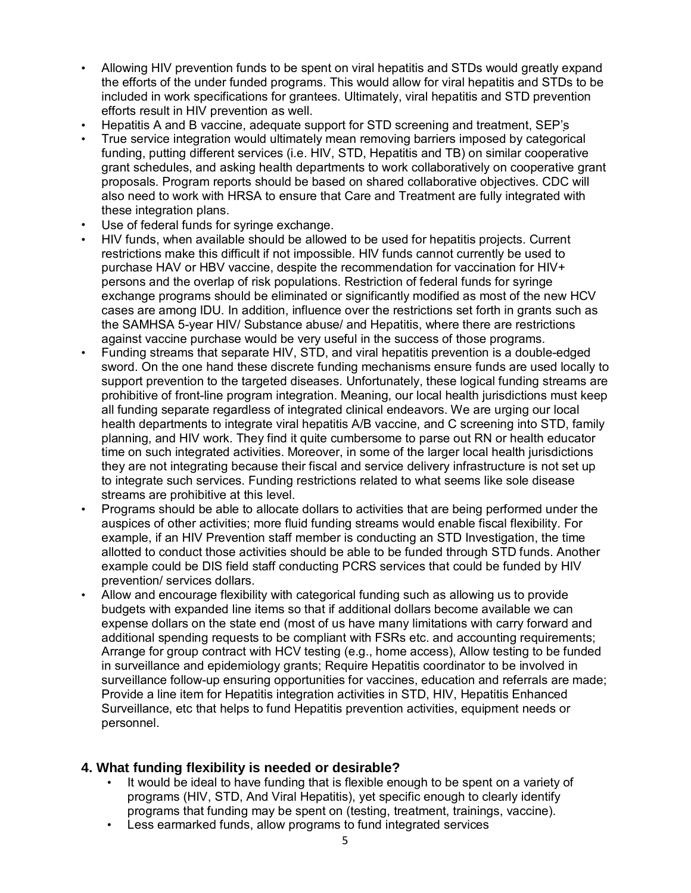- Allowing HIV prevention funds to be spent on viral hepatitis and STDs would greatly expand the efforts of the under funded programs. This would allow for viral hepatitis and STDs to be included in work specifications for grantees. Ultimately, viral hepatitis and STD prevention efforts result in HIV prevention as well.
- Hepatitis A and B vaccine, adequate support for STD screening and treatment, SEP's
- True service integration would ultimately mean removing barriers imposed by categorical funding, putting different services (i.e. HIV, STD, Hepatitis and TB) on similar cooperative grant schedules, and asking health departments to work collaboratively on cooperative grant proposals. Program reports should be based on shared collaborative objectives. CDC will also need to work with HRSA to ensure that Care and Treatment are fully integrated with these integration plans.
- Use of federal funds for syringe exchange.
- HIV funds, when available should be allowed to be used for hepatitis projects. Current restrictions make this difficult if not impossible. HIV funds cannot currently be used to purchase HAV or HBV vaccine, despite the recommendation for vaccination for HIV+ persons and the overlap of risk populations. Restriction of federal funds for syringe exchange programs should be eliminated or significantly modified as most of the new HCV cases are among IDU. In addition, influence over the restrictions set forth in grants such as the SAMHSA 5-year HIV/ Substance abuse/ and Hepatitis, where there are restrictions against vaccine purchase would be very useful in the success of those programs.
- Funding streams that separate HIV, STD, and viral hepatitis prevention is a double-edged sword. On the one hand these discrete funding mechanisms ensure funds are used locally to support prevention to the targeted diseases. Unfortunately, these logical funding streams are prohibitive of front-line program integration. Meaning, our local health jurisdictions must keep all funding separate regardless of integrated clinical endeavors. We are urging our local health departments to integrate viral hepatitis A/B vaccine, and C screening into STD, family planning, and HIV work. They find it quite cumbersome to parse out RN or health educator time on such integrated activities. Moreover, in some of the larger local health jurisdictions they are not integrating because their fiscal and service delivery infrastructure is not set up to integrate such services. Funding restrictions related to what seems like sole disease streams are prohibitive at this level.
- Programs should be able to allocate dollars to activities that are being performed under the auspices of other activities; more fluid funding streams would enable fiscal flexibility. For example, if an HIV Prevention staff member is conducting an STD Investigation, the time allotted to conduct those activities should be able to be funded through STD funds. Another example could be DIS field staff conducting PCRS services that could be funded by HIV prevention/ services dollars.
- Allow and encourage flexibility with categorical funding such as allowing us to provide budgets with expanded line items so that if additional dollars become available we can expense dollars on the state end (most of us have many limitations with carry forward and additional spending requests to be compliant with FSRs etc. and accounting requirements; Arrange for group contract with HCV testing (e.g., home access), Allow testing to be funded in surveillance and epidemiology grants; Require Hepatitis coordinator to be involved in surveillance follow-up ensuring opportunities for vaccines, education and referrals are made; Provide a line item for Hepatitis integration activities in STD, HIV, Hepatitis Enhanced Surveillance, etc that helps to fund Hepatitis prevention activities, equipment needs or personnel.

## **4. What funding flexibility is needed or desirable?**

- It would be ideal to have funding that is flexible enough to be spent on a variety of programs (HIV, STD, And Viral Hepatitis), yet specific enough to clearly identify programs that funding may be spent on (testing, treatment, trainings, vaccine).
- Less earmarked funds, allow programs to fund integrated services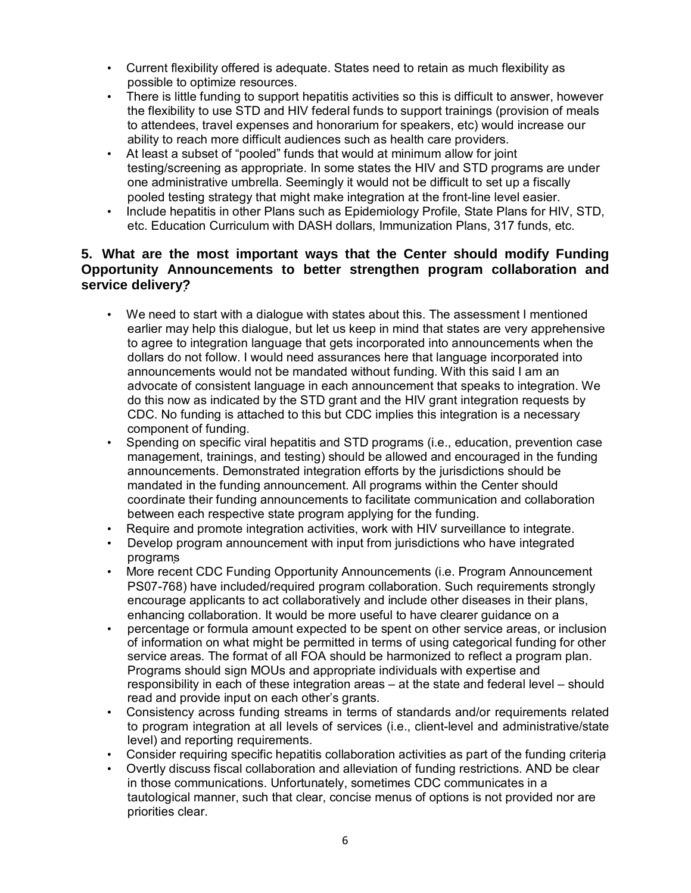- Current flexibility offered is adequate. States need to retain as much flexibility as possible to optimize resources.
- There is little funding to support hepatitis activities so this is difficult to answer, however the flexibility to use STD and HIV federal funds to support trainings (provision of meals to attendees, travel expenses and honorarium for speakers, etc) would increase our ability to reach more difficult audiences such as health care providers.
- At least a subset of "pooled" funds that would at minimum allow for joint testing/screening as appropriate. In some states the HIV and STD programs are under one administrative umbrella. Seemingly it would not be difficult to set up a fiscally pooled testing strategy that might make integration at the front-line level easier.
- Include hepatitis in other Plans such as Epidemiology Profile, State Plans for HIV, STD, etc. Education Curriculum with DASH dollars, Immunization Plans, 317 funds, etc.

### **5. What are the most important ways that the Center should modify Funding Opportunity Announcements to better strengthen program collaboration and service delivery?**

- We need to start with a dialogue with states about this. The assessment I mentioned earlier may help this dialogue, but let us keep in mind that states are very apprehensive to agree to integration language that gets incorporated into announcements when the dollars do not follow. I would need assurances here that language incorporated into announcements would not be mandated without funding. With this said I am an advocate of consistent language in each announcement that speaks to integration. We do this now as indicated by the STD grant and the HIV grant integration requests by CDC. No funding is attached to this but CDC implies this integration is a necessary component of funding.
- Spending on specific viral hepatitis and STD programs (i.e., education, prevention case management, trainings, and testing) should be allowed and encouraged in the funding announcements. Demonstrated integration efforts by the jurisdictions should be mandated in the funding announcement. All programs within the Center should coordinate their funding announcements to facilitate communication and collaboration between each respective state program applying for the funding.
- Require and promote integration activities, work with HIV surveillance to integrate.
- Develop program announcement with input from jurisdictions who have integrated programs
- More recent CDC Funding Opportunity Announcements (i.e. Program Announcement PS07-768) have included/required program collaboration. Such requirements strongly encourage applicants to act collaboratively and include other diseases in their plans, enhancing collaboration. It would be more useful to have clearer guidance on a
- percentage or formula amount expected to be spent on other service areas, or inclusion of information on what might be permitted in terms of using categorical funding for other service areas. The format of all FOA should be harmonized to reflect a program plan. Programs should sign MOUs and appropriate individuals with expertise and responsibility in each of these integration areas – at the state and federal level – should read and provide input on each other's grants.
- Consistency across funding streams in terms of standards and/or requirements related to program integration at all levels of services (i.e., client-level and administrative/state level) and reporting requirements.
- Consider requiring specific hepatitis collaboration activities as part of the funding criteria
- Overtly discuss fiscal collaboration and alleviation of funding restrictions. AND be clear in those communications. Unfortunately, sometimes CDC communicates in a tautological manner, such that clear, concise menus of options is not provided nor are priorities clear.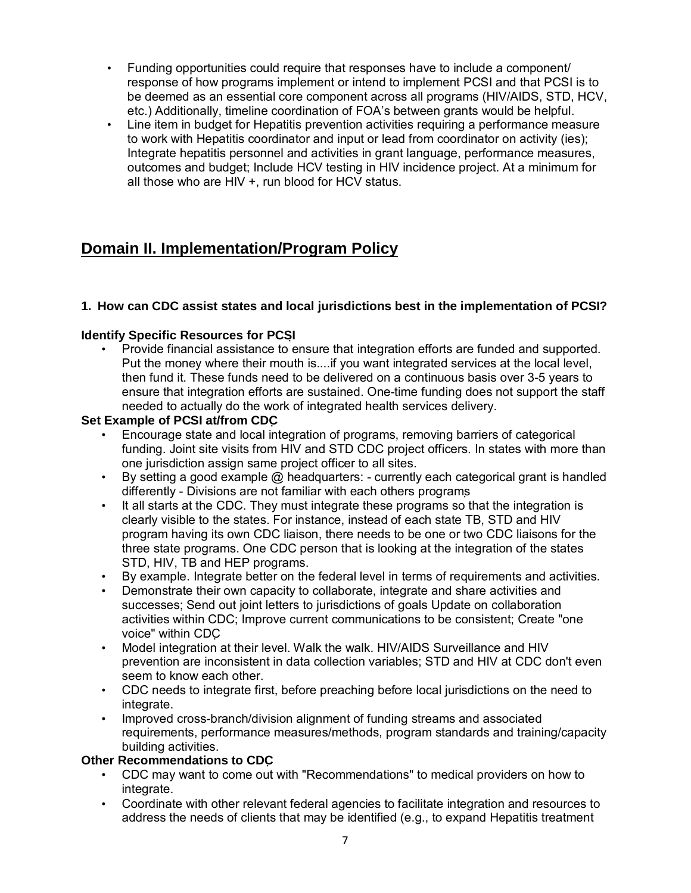- Funding opportunities could require that responses have to include a component/ response of how programs implement or intend to implement PCSI and that PCSI is to be deemed as an essential core component across all programs (HIV/AIDS, STD, HCV, etc.) Additionally, timeline coordination of FOA's between grants would be helpful.
- Line item in budget for Hepatitis prevention activities requiring a performance measure to work with Hepatitis coordinator and input or lead from coordinator on activity (ies); Integrate hepatitis personnel and activities in grant language, performance measures, outcomes and budget; Include HCV testing in HIV incidence project. At a minimum for all those who are HIV +, run blood for HCV status.

# **Domain II. Implementation/Program Policy**

## **1. How can CDC assist states and local jurisdictions best in the implementation of PCSI?**

### **Identify Specific Resources for PCSI**

• Provide financial assistance to ensure that integration efforts are funded and supported. Put the money where their mouth is....if you want integrated services at the local level, then fund it. These funds need to be delivered on a continuous basis over 3-5 years to ensure that integration efforts are sustained. One-time funding does not support the staff needed to actually do the work of integrated health services delivery.

#### **Set Example of PCSI at/from CDC**

- Encourage state and local integration of programs, removing barriers of categorical funding. Joint site visits from HIV and STD CDC project officers. In states with more than one jurisdiction assign same project officer to all sites.
- By setting a good example @ headquarters: currently each categorical grant is handled differently - Divisions are not familiar with each others programs
- It all starts at the CDC. They must integrate these programs so that the integration is clearly visible to the states. For instance, instead of each state TB, STD and HIV program having its own CDC liaison, there needs to be one or two CDC liaisons for the three state programs. One CDC person that is looking at the integration of the states STD, HIV, TB and HEP programs.
- By example. Integrate better on the federal level in terms of requirements and activities.
- Demonstrate their own capacity to collaborate, integrate and share activities and successes; Send out joint letters to jurisdictions of goals Update on collaboration activities within CDC; Improve current communications to be consistent; Create "one voice" within CDC
- Model integration at their level. Walk the walk. HIV/AIDS Surveillance and HIV prevention are inconsistent in data collection variables; STD and HIV at CDC don't even seem to know each other.
- CDC needs to integrate first, before preaching before local jurisdictions on the need to integrate.
- Improved cross-branch/division alignment of funding streams and associated requirements, performance measures/methods, program standards and training/capacity building activities.

#### **Other Recommendations to CDC**

- CDC may want to come out with "Recommendations" to medical providers on how to integrate.
- Coordinate with other relevant federal agencies to facilitate integration and resources to address the needs of clients that may be identified (e.g., to expand Hepatitis treatment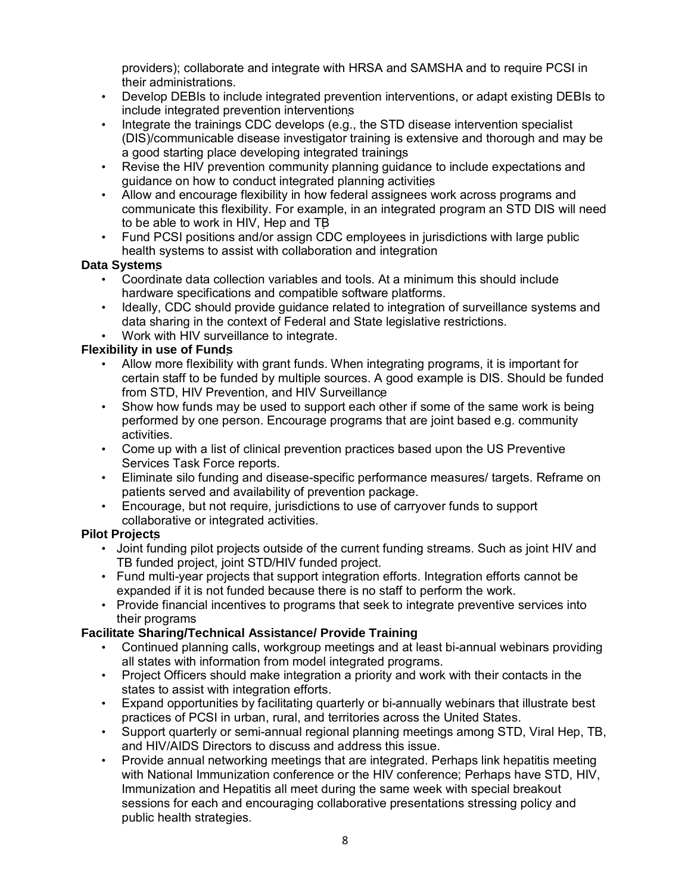providers); collaborate and integrate with HRSA and SAMSHA and to require PCSI in their administrations.

- Develop DEBIs to include integrated prevention interventions, or adapt existing DEBIs to include integrated prevention interventions
- Integrate the trainings CDC develops (e.g., the STD disease intervention specialist (DIS)/communicable disease investigator training is extensive and thorough and may be a good starting place developing integrated trainings
- Revise the HIV prevention community planning guidance to include expectations and guidance on how to conduct integrated planning activities
- Allow and encourage flexibility in how federal assignees work across programs and communicate this flexibility. For example, in an integrated program an STD DIS will need to be able to work in HIV, Hep and TB
- Fund PCSI positions and/or assign CDC employees in jurisdictions with large public health systems to assist with collaboration and integration

## **Data Systems**

- Coordinate data collection variables and tools. At a minimum this should include hardware specifications and compatible software platforms.
- Ideally, CDC should provide guidance related to integration of surveillance systems and data sharing in the context of Federal and State legislative restrictions.
- Work with HIV surveillance to integrate.

### **Flexibility in use of Funds**

- Allow more flexibility with grant funds. When integrating programs, it is important for certain staff to be funded by multiple sources. A good example is DIS. Should be funded from STD, HIV Prevention, and HIV Surveillance
- Show how funds may be used to support each other if some of the same work is being performed by one person. Encourage programs that are joint based e.g. community activities.
- Come up with a list of clinical prevention practices based upon the US Preventive Services Task Force reports.
- Eliminate silo funding and disease-specific performance measures/ targets. Reframe on patients served and availability of prevention package.
- Encourage, but not require, jurisdictions to use of carryover funds to support collaborative or integrated activities.

### **Pilot Projects**

- Joint funding pilot projects outside of the current funding streams. Such as joint HIV and TB funded project, joint STD/HIV funded project.
- Fund multi-year projects that support integration efforts. Integration efforts cannot be expanded if it is not funded because there is no staff to perform the work.
- Provide financial incentives to programs that seek to integrate preventive services into their programs

## **Facilitate Sharing/Technical Assistance/ Provide Training**

- Continued planning calls, workgroup meetings and at least bi-annual webinars providing all states with information from model integrated programs.
- Project Officers should make integration a priority and work with their contacts in the states to assist with integration efforts.
- Expand opportunities by facilitating quarterly or bi-annually webinars that illustrate best practices of PCSI in urban, rural, and territories across the United States.
- Support quarterly or semi-annual regional planning meetings among STD, Viral Hep, TB, and HIV/AIDS Directors to discuss and address this issue.
- Provide annual networking meetings that are integrated. Perhaps link hepatitis meeting with National Immunization conference or the HIV conference; Perhaps have STD, HIV, Immunization and Hepatitis all meet during the same week with special breakout sessions for each and encouraging collaborative presentations stressing policy and public health strategies.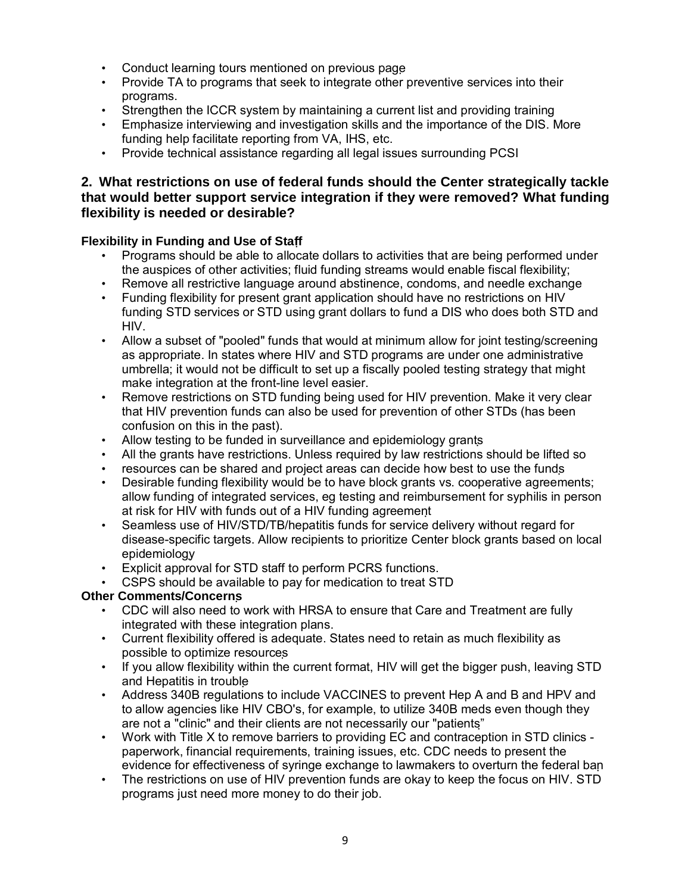- Conduct learning tours mentioned on previous page
- Provide TA to programs that seek to integrate other preventive services into their programs.
- Strengthen the ICCR system by maintaining a current list and providing training
- Emphasize interviewing and investigation skills and the importance of the DIS. More funding help facilitate reporting from VA, IHS, etc.
- Provide technical assistance regarding all legal issues surrounding PCSI

### **2. What restrictions on use of federal funds should the Center strategically tackle that would better support service integration if they were removed? What funding flexibility is needed or desirable?**

#### **Flexibility in Funding and Use of Staff**

- Programs should be able to allocate dollars to activities that are being performed under the auspices of other activities; fluid funding streams would enable fiscal flexibility;
- Remove all restrictive language around abstinence, condoms, and needle exchange
- Funding flexibility for present grant application should have no restrictions on HIV funding STD services or STD using grant dollars to fund a DIS who does both STD and HIV.
- Allow a subset of "pooled" funds that would at minimum allow for joint testing/screening as appropriate. In states where HIV and STD programs are under one administrative umbrella; it would not be difficult to set up a fiscally pooled testing strategy that might make integration at the front-line level easier.
- Remove restrictions on STD funding being used for HIV prevention. Make it very clear that HIV prevention funds can also be used for prevention of other STDs (has been confusion on this in the past).
- Allow testing to be funded in surveillance and epidemiology grants
- All the grants have restrictions. Unless required by law restrictions should be lifted so
- resources can be shared and project areas can decide how best to use the funds
- Desirable funding flexibility would be to have block grants vs. cooperative agreements; allow funding of integrated services, eg testing and reimbursement for syphilis in person at risk for HIV with funds out of a HIV funding agreement
- Seamless use of HIV/STD/TB/hepatitis funds for service delivery without regard for disease-specific targets. Allow recipients to prioritize Center block grants based on local epidemiology
- Explicit approval for STD staff to perform PCRS functions.
- CSPS should be available to pay for medication to treat STD

### **Other Comments/Concerns**

- CDC will also need to work with HRSA to ensure that Care and Treatment are fully integrated with these integration plans.
- Current flexibility offered is adequate. States need to retain as much flexibility as possible to optimize resources
- If you allow flexibility within the current format, HIV will get the bigger push, leaving STD and Hepatitis in trouble
- Address 340B regulations to include VACCINES to prevent Hep A and B and HPV and to allow agencies like HIV CBO's, for example, to utilize 340B meds even though they are not a "clinic" and their clients are not necessarily our "patients"
- Work with Title X to remove barriers to providing EC and contraception in STD clinics paperwork, financial requirements, training issues, etc. CDC needs to present the evidence for effectiveness of syringe exchange to lawmakers to overturn the federal ban
- The restrictions on use of HIV prevention funds are okay to keep the focus on HIV. STD programs just need more money to do their job.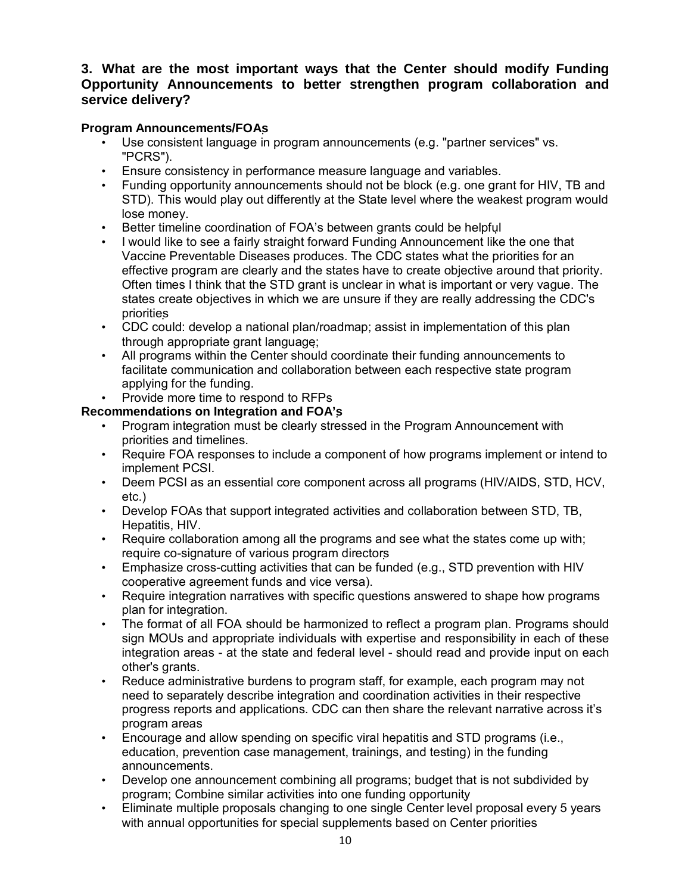## **3. What are the most important ways that the Center should modify Funding Opportunity Announcements to better strengthen program collaboration and service delivery?**

#### **Program Announcements/FOAs**

- Use consistent language in program announcements (e.g. "partner services" vs. "PCRS").
- Ensure consistency in performance measure language and variables.
- Funding opportunity announcements should not be block (e.g. one grant for HIV, TB and STD). This would play out differently at the State level where the weakest program would lose money.
- Better timeline coordination of FOA's between grants could be helpful
- I would like to see a fairly straight forward Funding Announcement like the one that Vaccine Preventable Diseases produces. The CDC states what the priorities for an effective program are clearly and the states have to create objective around that priority. Often times I think that the STD grant is unclear in what is important or very vague. The states create objectives in which we are unsure if they are really addressing the CDC's priorities
- CDC could: develop a national plan/roadmap; assist in implementation of this plan through appropriate grant language;
- All programs within the Center should coordinate their funding announcements to facilitate communication and collaboration between each respective state program applying for the funding.
- Provide more time to respond to RFPs

#### **Recommendations on Integration and FOA's**

- Program integration must be clearly stressed in the Program Announcement with priorities and timelines.
- Require FOA responses to include a component of how programs implement or intend to implement PCSI.
- Deem PCSI as an essential core component across all programs (HIV/AIDS, STD, HCV, etc.)
- Develop FOAs that support integrated activities and collaboration between STD, TB, Hepatitis, HIV.
- Require collaboration among all the programs and see what the states come up with; require co-signature of various program directors
- Emphasize cross-cutting activities that can be funded (e.g., STD prevention with HIV cooperative agreement funds and vice versa).
- Require integration narratives with specific questions answered to shape how programs plan for integration.
- The format of all FOA should be harmonized to reflect a program plan. Programs should sign MOUs and appropriate individuals with expertise and responsibility in each of these integration areas - at the state and federal level - should read and provide input on each other's grants.
- Reduce administrative burdens to program staff, for example, each program may not need to separately describe integration and coordination activities in their respective progress reports and applications. CDC can then share the relevant narrative across it's program areas
- Encourage and allow spending on specific viral hepatitis and STD programs (i.e., education, prevention case management, trainings, and testing) in the funding announcements.
- Develop one announcement combining all programs; budget that is not subdivided by program; Combine similar activities into one funding opportunity
- Eliminate multiple proposals changing to one single Center level proposal every 5 years with annual opportunities for special supplements based on Center priorities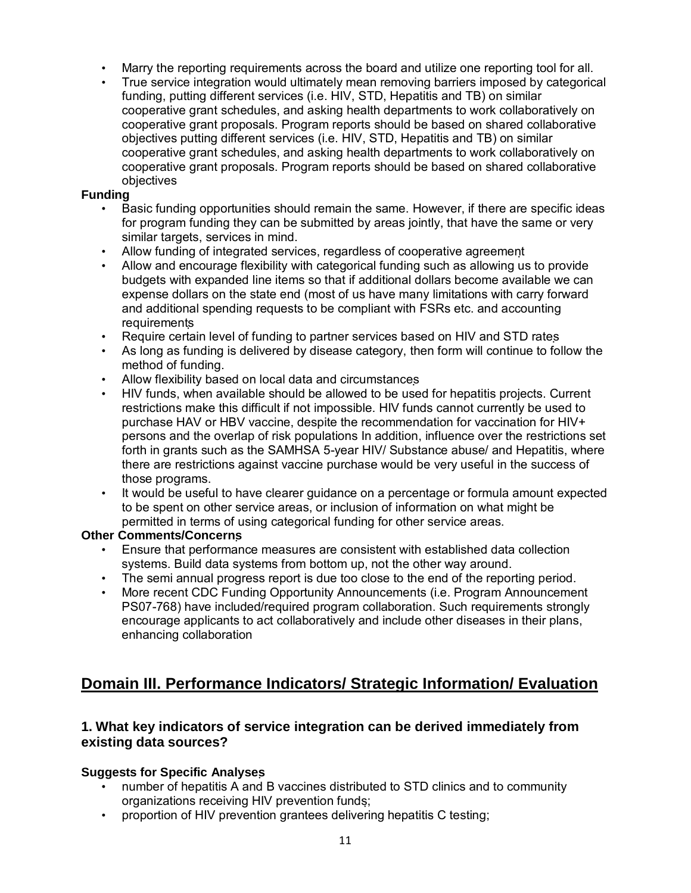- Marry the reporting requirements across the board and utilize one reporting tool for all.
- True service integration would ultimately mean removing barriers imposed by categorical funding, putting different services (i.e. HIV, STD, Hepatitis and TB) on similar cooperative grant schedules, and asking health departments to work collaboratively on cooperative grant proposals. Program reports should be based on shared collaborative objectives putting different services (i.e. HIV, STD, Hepatitis and TB) on similar cooperative grant schedules, and asking health departments to work collaboratively on cooperative grant proposals. Program reports should be based on shared collaborative objectives

#### **Funding**

- Basic funding opportunities should remain the same. However, if there are specific ideas for program funding they can be submitted by areas jointly, that have the same or very similar targets, services in mind.
- Allow funding of integrated services, regardless of cooperative agreement
- Allow and encourage flexibility with categorical funding such as allowing us to provide budgets with expanded line items so that if additional dollars become available we can expense dollars on the state end (most of us have many limitations with carry forward and additional spending requests to be compliant with FSRs etc. and accounting requirements
- Require certain level of funding to partner services based on HIV and STD rates
- As long as funding is delivered by disease category, then form will continue to follow the method of funding.
- Allow flexibility based on local data and circumstances
- HIV funds, when available should be allowed to be used for hepatitis projects. Current restrictions make this difficult if not impossible. HIV funds cannot currently be used to purchase HAV or HBV vaccine, despite the recommendation for vaccination for HIV+ persons and the overlap of risk populations In addition, influence over the restrictions set forth in grants such as the SAMHSA 5-year HIV/ Substance abuse/ and Hepatitis, where there are restrictions against vaccine purchase would be very useful in the success of those programs.
- It would be useful to have clearer guidance on a percentage or formula amount expected to be spent on other service areas, or inclusion of information on what might be permitted in terms of using categorical funding for other service areas.

### **Other Comments/Concerns**

- Ensure that performance measures are consistent with established data collection systems. Build data systems from bottom up, not the other way around.
- The semi annual progress report is due too close to the end of the reporting period.
- More recent CDC Funding Opportunity Announcements (i.e. Program Announcement PS07-768) have included/required program collaboration. Such requirements strongly encourage applicants to act collaboratively and include other diseases in their plans, enhancing collaboration

# **Domain III. Performance Indicators/ Strategic Information/ Evaluation**

### **1. What key indicators of service integration can be derived immediately from existing data sources?**

### **Suggests for Specific Analyses**

- number of hepatitis A and B vaccines distributed to STD clinics and to community organizations receiving HIV prevention funds;
- proportion of HIV prevention grantees delivering hepatitis C testing;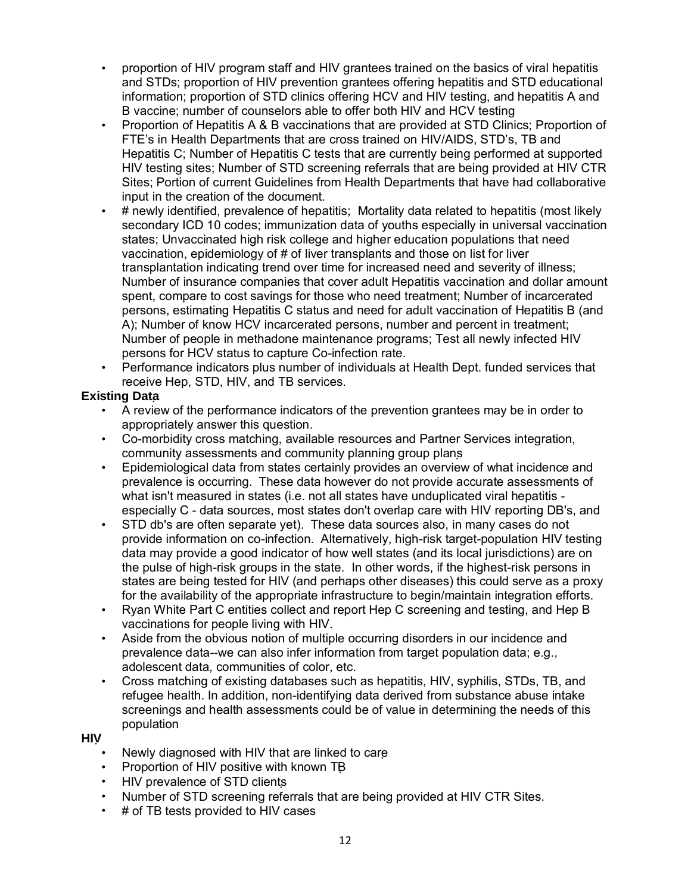- proportion of HIV program staff and HIV grantees trained on the basics of viral hepatitis and STDs; proportion of HIV prevention grantees offering hepatitis and STD educational information; proportion of STD clinics offering HCV and HIV testing, and hepatitis A and B vaccine; number of counselors able to offer both HIV and HCV testing
- Proportion of Hepatitis A & B vaccinations that are provided at STD Clinics; Proportion of FTE's in Health Departments that are cross trained on HIV/AIDS, STD's, TB and Hepatitis C; Number of Hepatitis C tests that are currently being performed at supported HIV testing sites; Number of STD screening referrals that are being provided at HIV CTR Sites; Portion of current Guidelines from Health Departments that have had collaborative input in the creation of the document.
- # newly identified, prevalence of hepatitis; Mortality data related to hepatitis (most likely secondary ICD 10 codes; immunization data of youths especially in universal vaccination states; Unvaccinated high risk college and higher education populations that need vaccination, epidemiology of # of liver transplants and those on list for liver transplantation indicating trend over time for increased need and severity of illness; Number of insurance companies that cover adult Hepatitis vaccination and dollar amount spent, compare to cost savings for those who need treatment; Number of incarcerated persons, estimating Hepatitis C status and need for adult vaccination of Hepatitis B (and A); Number of know HCV incarcerated persons, number and percent in treatment; Number of people in methadone maintenance programs; Test all newly infected HIV persons for HCV status to capture Co-infection rate.
- Performance indicators plus number of individuals at Health Dept. funded services that receive Hep, STD, HIV, and TB services.

## **Existing Data**

- A review of the performance indicators of the prevention grantees may be in order to appropriately answer this question.
- Co-morbidity cross matching, available resources and Partner Services integration, community assessments and community planning group plans
- Epidemiological data from states certainly provides an overview of what incidence and prevalence is occurring. These data however do not provide accurate assessments of what isn't measured in states (i.e. not all states have unduplicated viral hepatitis especially C - data sources, most states don't overlap care with HIV reporting DB's, and
- STD db's are often separate yet). These data sources also, in many cases do not provide information on co-infection. Alternatively, high-risk target-population HIV testing data may provide a good indicator of how well states (and its local jurisdictions) are on the pulse of high-risk groups in the state. In other words, if the highest-risk persons in states are being tested for HIV (and perhaps other diseases) this could serve as a proxy for the availability of the appropriate infrastructure to begin/maintain integration efforts.
- Ryan White Part C entities collect and report Hep C screening and testing, and Hep B vaccinations for people living with HIV.
- Aside from the obvious notion of multiple occurring disorders in our incidence and prevalence data--we can also infer information from target population data; e.g., adolescent data, communities of color, etc.
- Cross matching of existing databases such as hepatitis, HIV, syphilis, STDs, TB, and refugee health. In addition, non-identifying data derived from substance abuse intake screenings and health assessments could be of value in determining the needs of this population

#### **HIV**

- Newly diagnosed with HIV that are linked to care
- Proportion of HIV positive with known TB
- HIV prevalence of STD clients
- Number of STD screening referrals that are being provided at HIV CTR Sites.
- # of TB tests provided to HIV cases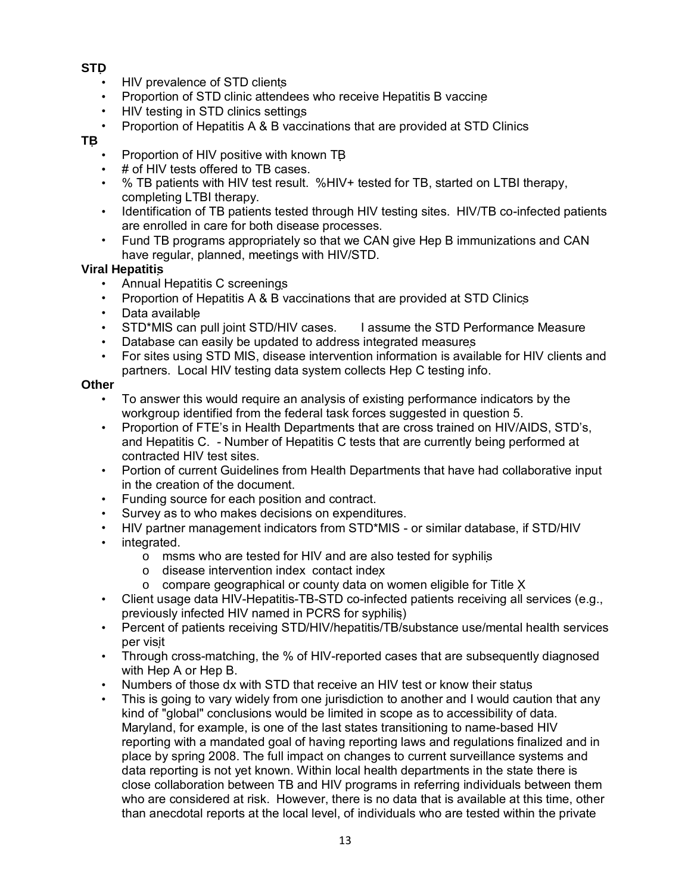### **STD**

- HIV prevalence of STD clients
- Proportion of STD clinic attendees who receive Hepatitis B vaccine
- HIV testing in STD clinics settings
- Proportion of Hepatitis A & B vaccinations that are provided at STD Clinics

#### **TB**

- Proportion of HIV positive with known TB
- # of HIV tests offered to TB cases.
- % TB patients with HIV test result. %HIV+ tested for TB, started on LTBI therapy, completing LTBI therapy.
- Identification of TB patients tested through HIV testing sites. HIV/TB co-infected patients are enrolled in care for both disease processes.
- Fund TB programs appropriately so that we CAN give Hep B immunizations and CAN have regular, planned, meetings with HIV/STD.

## **Viral Hepatitis**

- Annual Hepatitis C screenings
- Proportion of Hepatitis A & B vaccinations that are provided at STD Clinics
- Data available
- STD\*MIS can pull joint STD/HIV cases. I assume the STD Performance Measure
- Database can easily be updated to address integrated measures
- For sites using STD MIS, disease intervention information is available for HIV clients and partners. Local HIV testing data system collects Hep C testing info.

## **Other**

- To answer this would require an analysis of existing performance indicators by the workgroup identified from the federal task forces suggested in question 5.
- Proportion of FTE's in Health Departments that are cross trained on HIV/AIDS, STD's, and Hepatitis C. - Number of Hepatitis C tests that are currently being performed at contracted HIV test sites.
- Portion of current Guidelines from Health Departments that have had collaborative input in the creation of the document.
- Funding source for each position and contract.
- Survey as to who makes decisions on expenditures.
- HIV partner management indicators from STD\*MIS or similar database, if STD/HIV
- integrated.
	- o msms who are tested for HIV and are also tested for syphilis
		- o disease intervention index contact index
		- o compare geographical or county data on women eligible for Title X
- Client usage data HIV-Hepatitis-TB-STD co-infected patients receiving all services (e.g., previously infected HIV named in PCRS for syphilis)
- Percent of patients receiving STD/HIV/hepatitis/TB/substance use/mental health services per visit
- Through cross-matching, the % of HIV-reported cases that are subsequently diagnosed with Hep A or Hep B.
- Numbers of those dx with STD that receive an HIV test or know their status
- This is going to vary widely from one jurisdiction to another and I would caution that any kind of "global" conclusions would be limited in scope as to accessibility of data. Maryland, for example, is one of the last states transitioning to name-based HIV reporting with a mandated goal of having reporting laws and regulations finalized and in place by spring 2008. The full impact on changes to current surveillance systems and data reporting is not yet known. Within local health departments in the state there is close collaboration between TB and HIV programs in referring individuals between them who are considered at risk. However, there is no data that is available at this time, other than anecdotal reports at the local level, of individuals who are tested within the private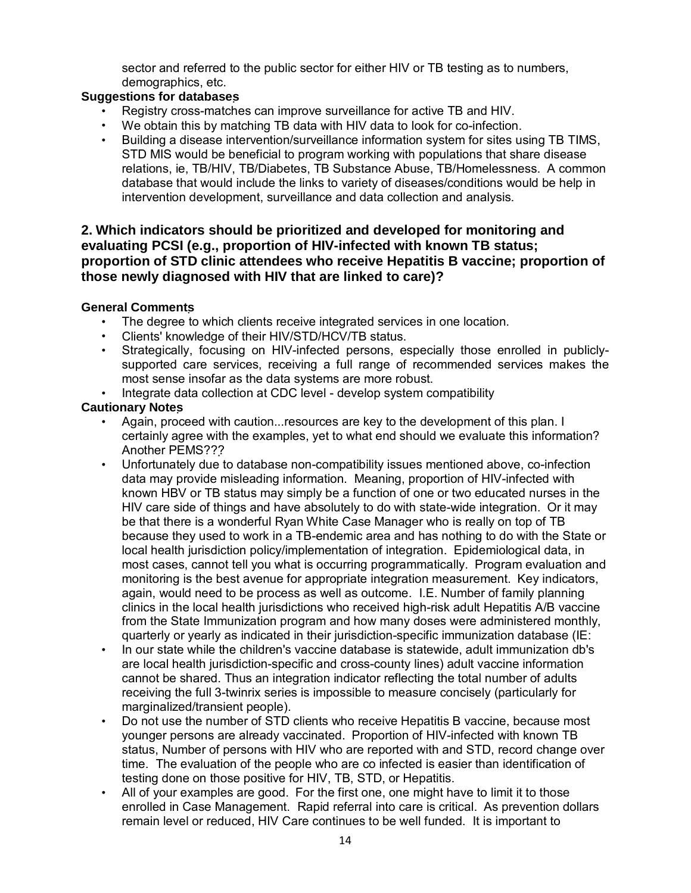sector and referred to the public sector for either HIV or TB testing as to numbers, demographics, etc.

#### **Suggestions for databases**

- Registry cross-matches can improve surveillance for active TB and HIV.
- We obtain this by matching TB data with HIV data to look for co-infection.
- Building a disease intervention/surveillance information system for sites using TB TIMS, STD MIS would be beneficial to program working with populations that share disease relations, ie, TB/HIV, TB/Diabetes, TB Substance Abuse, TB/Homelessness. A common database that would include the links to variety of diseases/conditions would be help in intervention development, surveillance and data collection and analysis.

#### **2. Which indicators should be prioritized and developed for monitoring and evaluating PCSI (e.g., proportion of HIV-infected with known TB status; proportion of STD clinic attendees who receive Hepatitis B vaccine; proportion of those newly diagnosed with HIV that are linked to care)?**

#### **General Comments**

- The degree to which clients receive integrated services in one location.
- Clients' knowledge of their HIV/STD/HCV/TB status.
- Strategically, focusing on HIV-infected persons, especially those enrolled in publiclysupported care services, receiving a full range of recommended services makes the most sense insofar as the data systems are more robust.
- Integrate data collection at CDC level develop system compatibility

#### **Cautionary Notes**

- Again, proceed with caution...resources are key to the development of this plan. I certainly agree with the examples, yet to what end should we evaluate this information? Another PEMS???
- Unfortunately due to database non-compatibility issues mentioned above, co-infection data may provide misleading information. Meaning, proportion of HIV-infected with known HBV or TB status may simply be a function of one or two educated nurses in the HIV care side of things and have absolutely to do with state-wide integration. Or it may be that there is a wonderful Ryan White Case Manager who is really on top of TB because they used to work in a TB-endemic area and has nothing to do with the State or local health jurisdiction policy/implementation of integration. Epidemiological data, in most cases, cannot tell you what is occurring programmatically. Program evaluation and monitoring is the best avenue for appropriate integration measurement. Key indicators, again, would need to be process as well as outcome. I.E. Number of family planning clinics in the local health jurisdictions who received high-risk adult Hepatitis A/B vaccine from the State Immunization program and how many doses were administered monthly, quarterly or yearly as indicated in their jurisdiction-specific immunization database (IE:
- In our state while the children's vaccine database is statewide, adult immunization db's are local health jurisdiction-specific and cross-county lines) adult vaccine information cannot be shared. Thus an integration indicator reflecting the total number of adults receiving the full 3-twinrix series is impossible to measure concisely (particularly for marginalized/transient people).
- Do not use the number of STD clients who receive Hepatitis B vaccine, because most younger persons are already vaccinated. Proportion of HIV-infected with known TB status, Number of persons with HIV who are reported with and STD, record change over time. The evaluation of the people who are co infected is easier than identification of testing done on those positive for HIV, TB, STD, or Hepatitis.
- All of your examples are good. For the first one, one might have to limit it to those enrolled in Case Management. Rapid referral into care is critical. As prevention dollars remain level or reduced, HIV Care continues to be well funded. It is important to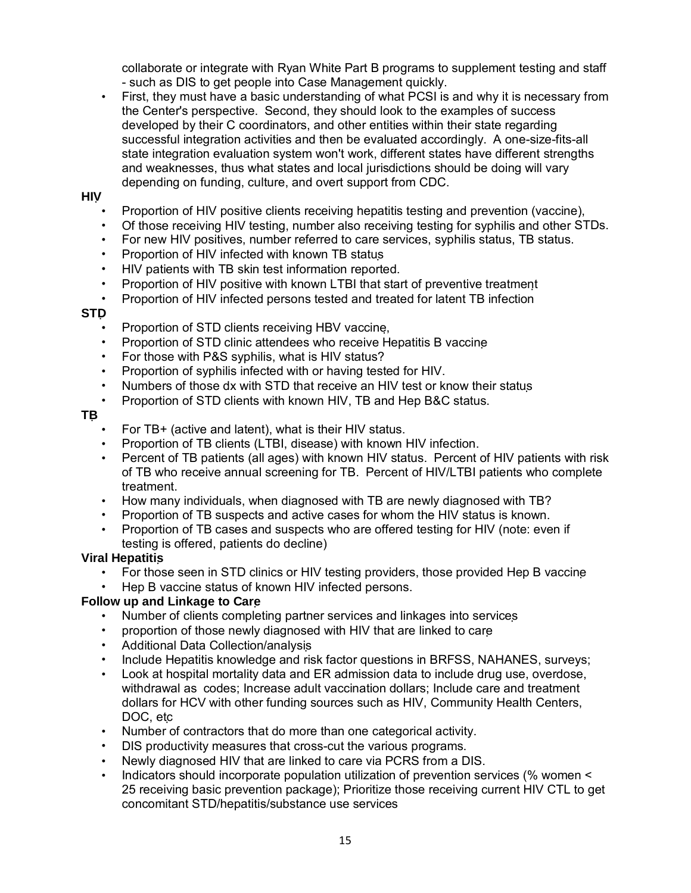collaborate or integrate with Ryan White Part B programs to supplement testing and staff - such as DIS to get people into Case Management quickly.

• First, they must have a basic understanding of what PCSI is and why it is necessary from the Center's perspective. Second, they should look to the examples of success developed by their C coordinators, and other entities within their state regarding successful integration activities and then be evaluated accordingly. A one-size-fits-all state integration evaluation system won't work, different states have different strengths and weaknesses, thus what states and local jurisdictions should be doing will vary depending on funding, culture, and overt support from CDC.

#### **HIV**

- Proportion of HIV positive clients receiving hepatitis testing and prevention (vaccine),
- Of those receiving HIV testing, number also receiving testing for syphilis and other STDs.
- For new HIV positives, number referred to care services, syphilis status, TB status.
- Proportion of HIV infected with known TB status
- HIV patients with TB skin test information reported.
- Proportion of HIV positive with known LTBI that start of preventive treatment
- Proportion of HIV infected persons tested and treated for latent TB infection

#### **STD**

- Proportion of STD clients receiving HBV vaccine,
- Proportion of STD clinic attendees who receive Hepatitis B vaccine
- For those with P&S syphilis, what is HIV status?
- Proportion of syphilis infected with or having tested for HIV.
- Numbers of those dx with STD that receive an HIV test or know their status
- Proportion of STD clients with known HIV, TB and Hep B&C status.

#### **TB**

- For TB+ (active and latent), what is their HIV status.
- Proportion of TB clients (LTBI, disease) with known HIV infection.
- Percent of TB patients (all ages) with known HIV status. Percent of HIV patients with risk of TB who receive annual screening for TB. Percent of HIV/LTBI patients who complete treatment.
- How many individuals, when diagnosed with TB are newly diagnosed with TB?
- Proportion of TB suspects and active cases for whom the HIV status is known.
- Proportion of TB cases and suspects who are offered testing for HIV (note: even if testing is offered, patients do decline)

#### **Viral Hepatitis**

- For those seen in STD clinics or HIV testing providers, those provided Hep B vaccine
- Hep B vaccine status of known HIV infected persons.

#### **Follow up and Linkage to Care**

- Number of clients completing partner services and linkages into services
- proportion of those newly diagnosed with HIV that are linked to care
- Additional Data Collection/analysis
- Include Hepatitis knowledge and risk factor questions in BRFSS, NAHANES, surveys;
- Look at hospital mortality data and ER admission data to include drug use, overdose, withdrawal as codes; Increase adult vaccination dollars; Include care and treatment dollars for HCV with other funding sources such as HIV, Community Health Centers, DOC, etc
- Number of contractors that do more than one categorical activity.
- DIS productivity measures that cross-cut the various programs.
- Newly diagnosed HIV that are linked to care via PCRS from a DIS.
- Indicators should incorporate population utilization of prevention services (% women < 25 receiving basic prevention package); Prioritize those receiving current HIV CTL to get concomitant STD/hepatitis/substance use services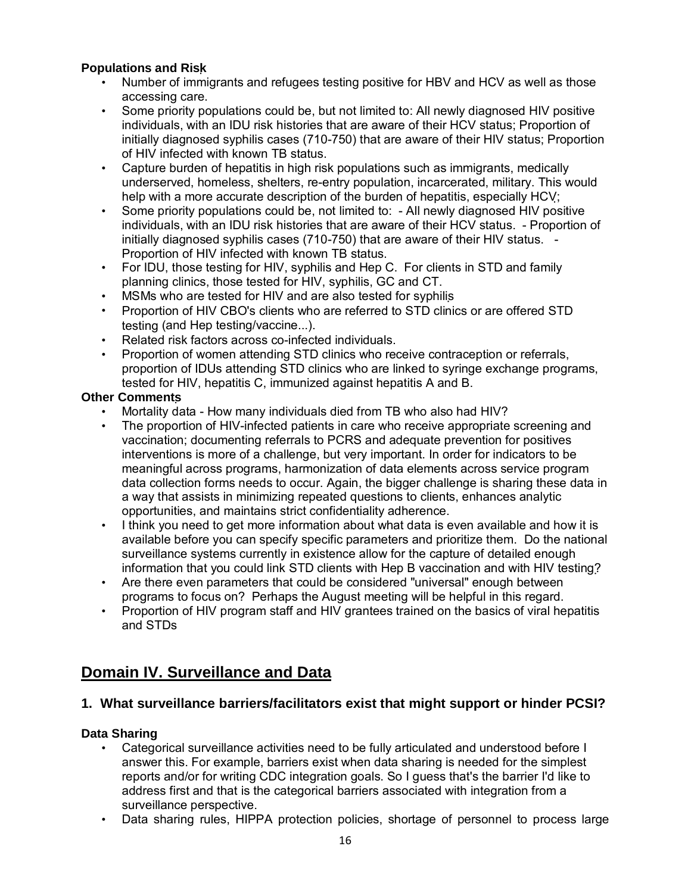### **Populations and Risk**

- Number of immigrants and refugees testing positive for HBV and HCV as well as those accessing care.
- Some priority populations could be, but not limited to: All newly diagnosed HIV positive individuals, with an IDU risk histories that are aware of their HCV status; Proportion of initially diagnosed syphilis cases (710-750) that are aware of their HIV status; Proportion of HIV infected with known TB status.
- Capture burden of hepatitis in high risk populations such as immigrants, medically underserved, homeless, shelters, re-entry population, incarcerated, military. This would help with a more accurate description of the burden of hepatitis, especially HCV;
- Some priority populations could be, not limited to: All newly diagnosed HIV positive individuals, with an IDU risk histories that are aware of their HCV status. - Proportion of initially diagnosed syphilis cases (710-750) that are aware of their HIV status. - Proportion of HIV infected with known TB status.
- For IDU, those testing for HIV, syphilis and Hep C. For clients in STD and family planning clinics, those tested for HIV, syphilis, GC and CT.
- MSMs who are tested for HIV and are also tested for syphilis
- Proportion of HIV CBO's clients who are referred to STD clinics or are offered STD testing (and Hep testing/vaccine...).
- Related risk factors across co-infected individuals.
- Proportion of women attending STD clinics who receive contraception or referrals, proportion of IDUs attending STD clinics who are linked to syringe exchange programs, tested for HIV, hepatitis C, immunized against hepatitis A and B.

#### **Other Comments**

- Mortality data How many individuals died from TB who also had HIV?
- The proportion of HIV-infected patients in care who receive appropriate screening and vaccination; documenting referrals to PCRS and adequate prevention for positives interventions is more of a challenge, but very important. In order for indicators to be meaningful across programs, harmonization of data elements across service program data collection forms needs to occur. Again, the bigger challenge is sharing these data in a way that assists in minimizing repeated questions to clients, enhances analytic opportunities, and maintains strict confidentiality adherence.
- I think you need to get more information about what data is even available and how it is available before you can specify specific parameters and prioritize them. Do the national surveillance systems currently in existence allow for the capture of detailed enough information that you could link STD clients with Hep B vaccination and with HIV testing?
- Are there even parameters that could be considered "universal" enough between programs to focus on? Perhaps the August meeting will be helpful in this regard.
- Proportion of HIV program staff and HIV grantees trained on the basics of viral hepatitis and STDs

# **Domain IV. Surveillance and Data**

### **1. What surveillance barriers/facilitators exist that might support or hinder PCSI?**

#### **Data Sharing**

- Categorical surveillance activities need to be fully articulated and understood before I answer this. For example, barriers exist when data sharing is needed for the simplest reports and/or for writing CDC integration goals. So I guess that's the barrier I'd like to address first and that is the categorical barriers associated with integration from a surveillance perspective.
- Data sharing rules, HIPPA protection policies, shortage of personnel to process large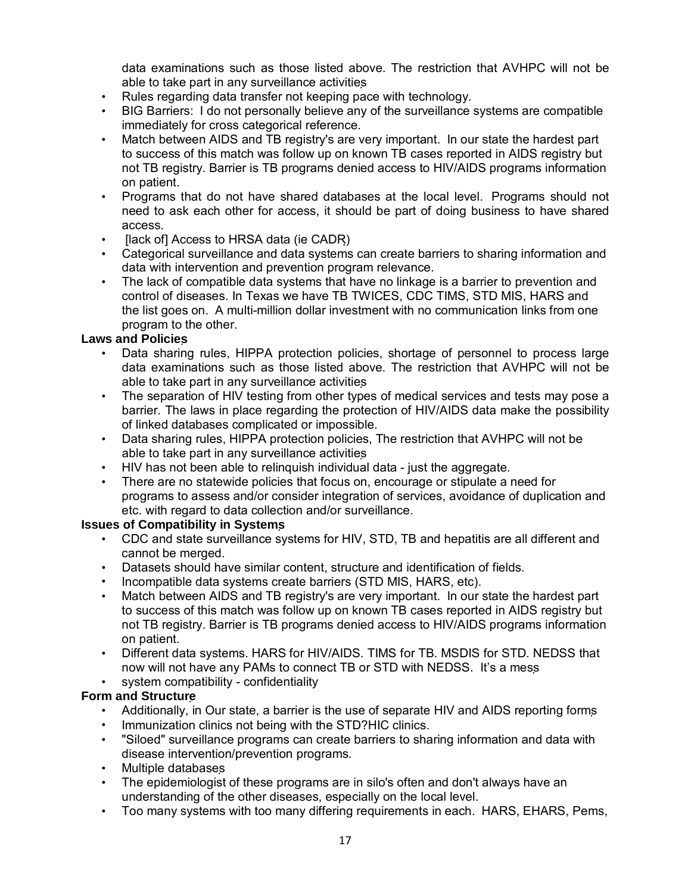data examinations such as those listed above. The restriction that AVHPC will not be able to take part in any surveillance activities

- Rules regarding data transfer not keeping pace with technology.
- BIG Barriers: I do not personally believe any of the surveillance systems are compatible immediately for cross categorical reference.
- Match between AIDS and TB registry's are very important. In our state the hardest part to success of this match was follow up on known TB cases reported in AIDS registry but not TB registry. Barrier is TB programs denied access to HIV/AIDS programs information on patient.
- Programs that do not have shared databases at the local level. Programs should not need to ask each other for access, it should be part of doing business to have shared access.
- [lack of] Access to HRSA data (ie CADR)
- Categorical surveillance and data systems can create barriers to sharing information and data with intervention and prevention program relevance.
- The lack of compatible data systems that have no linkage is a barrier to prevention and control of diseases. In Texas we have TB TWICES, CDC TIMS, STD MIS, HARS and the list goes on. A multi-million dollar investment with no communication links from one program to the other.

#### **Laws and Policies**

- Data sharing rules, HIPPA protection policies, shortage of personnel to process large data examinations such as those listed above. The restriction that AVHPC will not be able to take part in any surveillance activities
- The separation of HIV testing from other types of medical services and tests may pose a barrier. The laws in place regarding the protection of HIV/AIDS data make the possibility of linked databases complicated or impossible.
- Data sharing rules, HIPPA protection policies, The restriction that AVHPC will not be able to take part in any surveillance activities
- HIV has not been able to relinquish individual data just the aggregate.
- There are no statewide policies that focus on, encourage or stipulate a need for programs to assess and/or consider integration of services, avoidance of duplication and etc. with regard to data collection and/or surveillance.

#### **Issues of Compatibility in Systems**

- CDC and state surveillance systems for HIV, STD, TB and hepatitis are all different and cannot be merged.
- Datasets should have similar content, structure and identification of fields.
- Incompatible data systems create barriers (STD MIS, HARS, etc).
- Match between AIDS and TB registry's are very important. In our state the hardest part to success of this match was follow up on known TB cases reported in AIDS registry but not TB registry. Barrier is TB programs denied access to HIV/AIDS programs information on patient.
- Different data systems. HARS for HIV/AIDS. TIMS for TB. MSDIS for STD. NEDSS that now will not have any PAMs to connect TB or STD with NEDSS. It's a mess
- system compatibility confidentiality

#### **Form and Structure**

- Additionally, in Our state, a barrier is the use of separate HIV and AIDS reporting forms
- Immunization clinics not being with the STD?HIC clinics.
- "Siloed" surveillance programs can create barriers to sharing information and data with disease intervention/prevention programs.
- Multiple databases
- The epidemiologist of these programs are in silo's often and don't always have an understanding of the other diseases, especially on the local level.
- Too many systems with too many differing requirements in each. HARS, EHARS, Pems,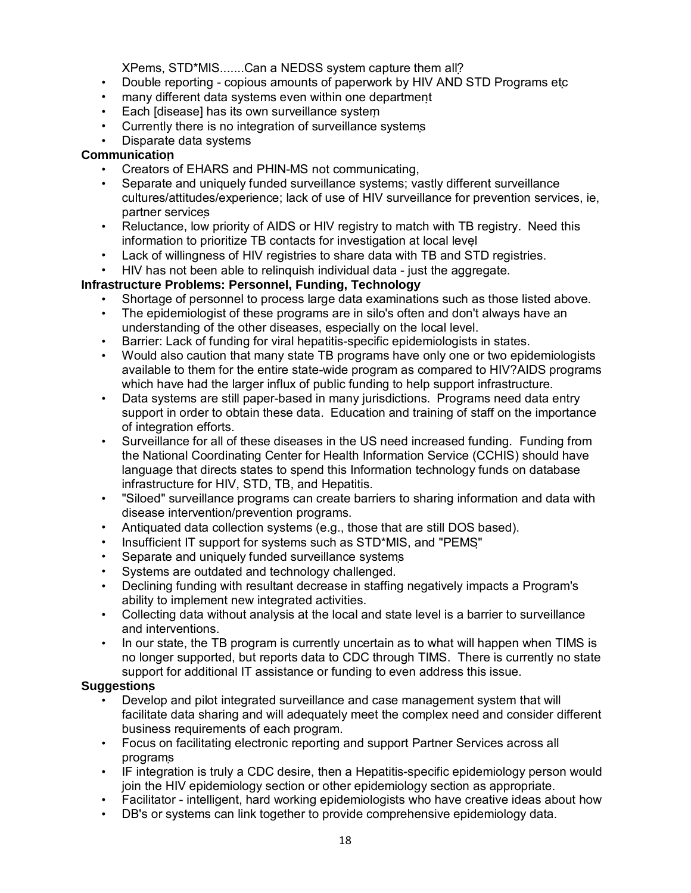XPems, STD\*MIS.......Can a NEDSS system capture them all?

- Double reporting copious amounts of paperwork by HIV AND STD Programs etc
- many different data systems even within one department
- Each [disease] has its own surveillance system
- Currently there is no integration of surveillance systems
- Disparate data systems

#### **Communication**

- Creators of EHARS and PHIN-MS not communicating,
- Separate and uniquely funded surveillance systems; vastly different surveillance cultures/attitudes/experience; lack of use of HIV surveillance for prevention services, ie, partner services
- Reluctance, low priority of AIDS or HIV registry to match with TB registry. Need this information to prioritize TB contacts for investigation at local level
- Lack of willingness of HIV registries to share data with TB and STD registries.
- HIV has not been able to relinquish individual data just the aggregate.

#### **Infrastructure Problems: Personnel, Funding, Technology**

- Shortage of personnel to process large data examinations such as those listed above.
- The epidemiologist of these programs are in silo's often and don't always have an understanding of the other diseases, especially on the local level.
- Barrier: Lack of funding for viral hepatitis-specific epidemiologists in states.
- Would also caution that many state TB programs have only one or two epidemiologists available to them for the entire state-wide program as compared to HIV?AIDS programs which have had the larger influx of public funding to help support infrastructure.
- Data systems are still paper-based in many jurisdictions. Programs need data entry support in order to obtain these data. Education and training of staff on the importance of integration efforts.
- Surveillance for all of these diseases in the US need increased funding. Funding from the National Coordinating Center for Health Information Service (CCHIS) should have language that directs states to spend this Information technology funds on database infrastructure for HIV, STD, TB, and Hepatitis.
- "Siloed" surveillance programs can create barriers to sharing information and data with disease intervention/prevention programs.
- Antiquated data collection systems (e.g., those that are still DOS based).
- Insufficient IT support for systems such as STD\*MIS, and "PEMS"
- Separate and uniquely funded surveillance systems
- Systems are outdated and technology challenged.
- Declining funding with resultant decrease in staffing negatively impacts a Program's ability to implement new integrated activities.
- Collecting data without analysis at the local and state level is a barrier to surveillance and interventions.
- In our state, the TB program is currently uncertain as to what will happen when TIMS is no longer supported, but reports data to CDC through TIMS. There is currently no state support for additional IT assistance or funding to even address this issue.

#### **Suggestions**

- Develop and pilot integrated surveillance and case management system that will facilitate data sharing and will adequately meet the complex need and consider different business requirements of each program.
- Focus on facilitating electronic reporting and support Partner Services across all programs
- IF integration is truly a CDC desire, then a Hepatitis-specific epidemiology person would join the HIV epidemiology section or other epidemiology section as appropriate.
- Facilitator intelligent, hard working epidemiologists who have creative ideas about how
- DB's or systems can link together to provide comprehensive epidemiology data.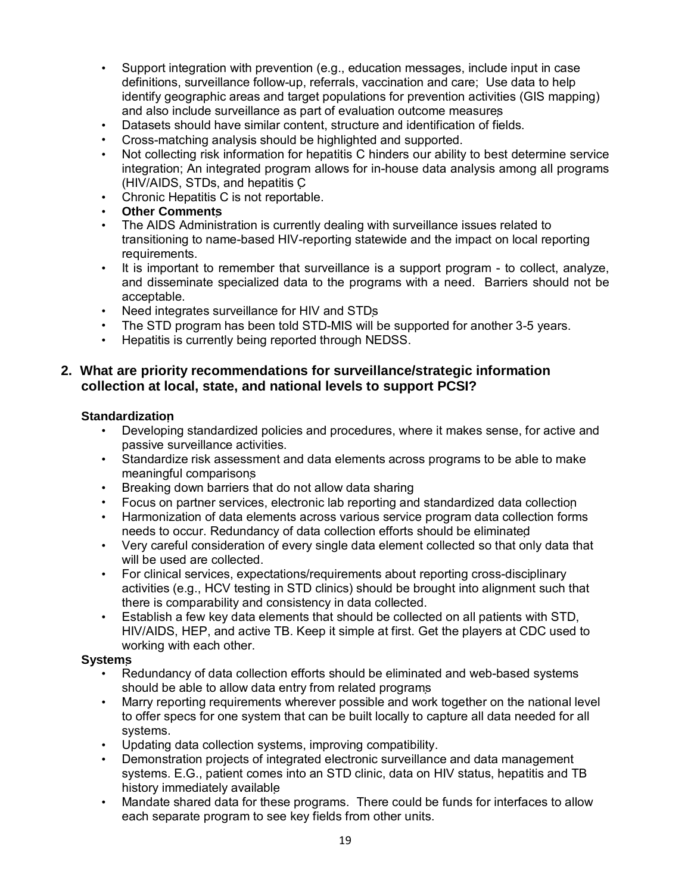- Support integration with prevention (e.g., education messages, include input in case definitions, surveillance follow-up, referrals, vaccination and care; Use data to help identify geographic areas and target populations for prevention activities (GIS mapping) and also include surveillance as part of evaluation outcome measures
- Datasets should have similar content, structure and identification of fields.
- Cross-matching analysis should be highlighted and supported.
- Not collecting risk information for hepatitis C hinders our ability to best determine service integration; An integrated program allows for in-house data analysis among all programs (HIV/AIDS, STDs, and hepatitis C
- Chronic Hepatitis C is not reportable.
- **Other Comments**
- The AIDS Administration is currently dealing with surveillance issues related to transitioning to name-based HIV-reporting statewide and the impact on local reporting requirements.
- It is important to remember that surveillance is a support program to collect, analyze, and disseminate specialized data to the programs with a need. Barriers should not be acceptable.
- Need integrates surveillance for HIV and STDs
- The STD program has been told STD-MIS will be supported for another 3-5 years.
- Hepatitis is currently being reported through NEDSS.

### **2. What are priority recommendations for surveillance/strategic information collection at local, state, and national levels to support PCSI?**

#### **Standardization**

- Developing standardized policies and procedures, where it makes sense, for active and passive surveillance activities.
- Standardize risk assessment and data elements across programs to be able to make meaningful comparisons
- Breaking down barriers that do not allow data sharing
- Focus on partner services, electronic lab reporting and standardized data collection
- Harmonization of data elements across various service program data collection forms needs to occur. Redundancy of data collection efforts should be eliminated
- Very careful consideration of every single data element collected so that only data that will be used are collected.
- For clinical services, expectations/requirements about reporting cross-disciplinary activities (e.g., HCV testing in STD clinics) should be brought into alignment such that there is comparability and consistency in data collected.
- Establish a few key data elements that should be collected on all patients with STD, HIV/AIDS, HEP, and active TB. Keep it simple at first. Get the players at CDC used to working with each other.

#### **Systems**

- Redundancy of data collection efforts should be eliminated and web-based systems should be able to allow data entry from related programs
- Marry reporting requirements wherever possible and work together on the national level to offer specs for one system that can be built locally to capture all data needed for all systems.
- Updating data collection systems, improving compatibility.
- Demonstration projects of integrated electronic surveillance and data management systems. E.G., patient comes into an STD clinic, data on HIV status, hepatitis and TB history immediately available
- Mandate shared data for these programs. There could be funds for interfaces to allow each separate program to see key fields from other units.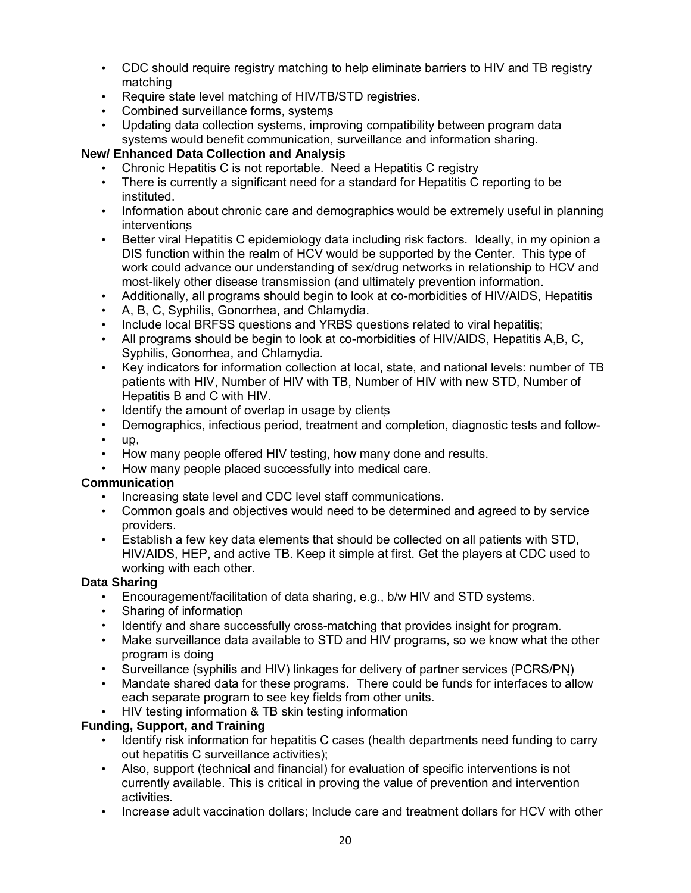- CDC should require registry matching to help eliminate barriers to HIV and TB registry matching
- Require state level matching of HIV/TB/STD registries.
- Combined surveillance forms, systems
- Updating data collection systems, improving compatibility between program data systems would benefit communication, surveillance and information sharing.

### **New/ Enhanced Data Collection and Analysis**

- Chronic Hepatitis C is not reportable. Need a Hepatitis C registry
- There is currently a significant need for a standard for Hepatitis C reporting to be instituted.
- Information about chronic care and demographics would be extremely useful in planning interventions
- Better viral Hepatitis C epidemiology data including risk factors. Ideally, in my opinion a DIS function within the realm of HCV would be supported by the Center. This type of work could advance our understanding of sex/drug networks in relationship to HCV and most-likely other disease transmission (and ultimately prevention information.
- Additionally, all programs should begin to look at co-morbidities of HIV/AIDS, Hepatitis
- A, B, C, Syphilis, Gonorrhea, and Chlamydia.
- Include local BRFSS questions and YRBS questions related to viral hepatitis;
- All programs should be begin to look at co-morbidities of HIV/AIDS, Hepatitis A,B, C, Syphilis, Gonorrhea, and Chlamydia.
- Key indicators for information collection at local, state, and national levels: number of TB patients with HIV, Number of HIV with TB, Number of HIV with new STD, Number of Hepatitis B and C with HIV.
- Identify the amount of overlap in usage by clients
- Demographics, infectious period, treatment and completion, diagnostic tests and follow-
- up,
- How many people offered HIV testing, how many done and results.
- How many people placed successfully into medical care.

### **Communication**

- Increasing state level and CDC level staff communications.
- Common goals and objectives would need to be determined and agreed to by service providers.
- Establish a few key data elements that should be collected on all patients with STD, HIV/AIDS, HEP, and active TB. Keep it simple at first. Get the players at CDC used to working with each other.

### **Data Sharing**

- Encouragement/facilitation of data sharing, e.g., b/w HIV and STD systems.
- Sharing of information
- Identify and share successfully cross-matching that provides insight for program.
- Make surveillance data available to STD and HIV programs, so we know what the other program is doing
- Surveillance (syphilis and HIV) linkages for delivery of partner services (PCRS/PN)
- Mandate shared data for these programs. There could be funds for interfaces to allow each separate program to see key fields from other units.
- HIV testing information & TB skin testing information

### **Funding, Support, and Training**

- Identify risk information for hepatitis C cases (health departments need funding to carry out hepatitis C surveillance activities);
- Also, support (technical and financial) for evaluation of specific interventions is not currently available. This is critical in proving the value of prevention and intervention activities.
- Increase adult vaccination dollars; Include care and treatment dollars for HCV with other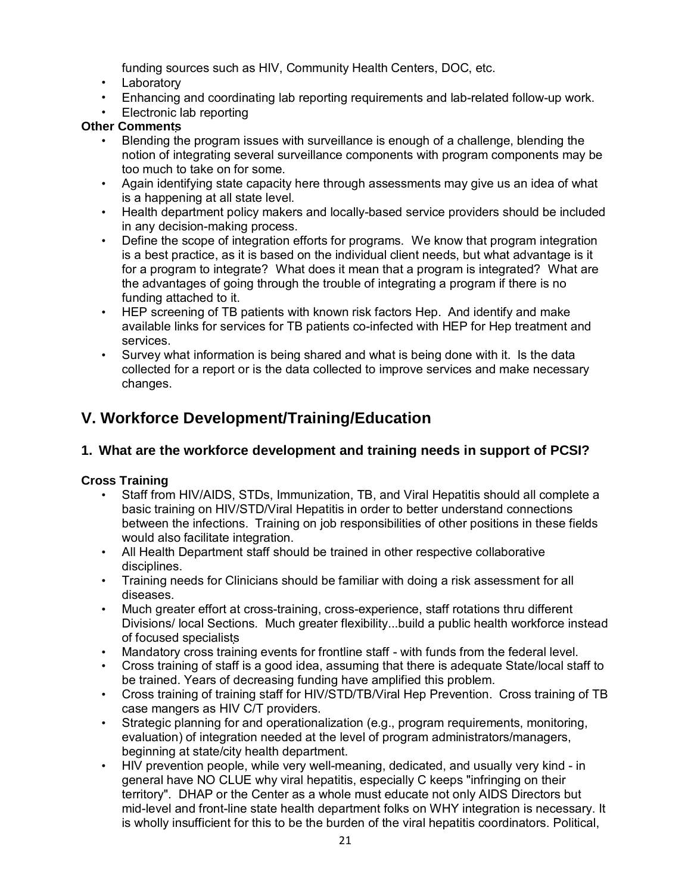funding sources such as HIV, Community Health Centers, DOC, etc.

- Laboratory
- Enhancing and coordinating lab reporting requirements and lab-related follow-up work.
- Electronic lab reporting

#### **Other Comments**

- Blending the program issues with surveillance is enough of a challenge, blending the notion of integrating several surveillance components with program components may be too much to take on for some.
- Again identifying state capacity here through assessments may give us an idea of what is a happening at all state level.
- Health department policy makers and locally-based service providers should be included in any decision-making process.
- Define the scope of integration efforts for programs. We know that program integration is a best practice, as it is based on the individual client needs, but what advantage is it for a program to integrate? What does it mean that a program is integrated? What are the advantages of going through the trouble of integrating a program if there is no funding attached to it.
- HEP screening of TB patients with known risk factors Hep. And identify and make available links for services for TB patients co-infected with HEP for Hep treatment and services.
- Survey what information is being shared and what is being done with it. Is the data collected for a report or is the data collected to improve services and make necessary changes.

# **V. Workforce Development/Training/Education**

### **1. What are the workforce development and training needs in support of PCSI?**

### **Cross Training**

- Staff from HIV/AIDS, STDs, Immunization, TB, and Viral Hepatitis should all complete a basic training on HIV/STD/Viral Hepatitis in order to better understand connections between the infections. Training on job responsibilities of other positions in these fields would also facilitate integration.
- All Health Department staff should be trained in other respective collaborative disciplines.
- Training needs for Clinicians should be familiar with doing a risk assessment for all diseases.
- Much greater effort at cross-training, cross-experience, staff rotations thru different Divisions/ local Sections. Much greater flexibility...build a public health workforce instead of focused specialists
- Mandatory cross training events for frontline staff with funds from the federal level.
- Cross training of staff is a good idea, assuming that there is adequate State/local staff to be trained. Years of decreasing funding have amplified this problem.
- Cross training of training staff for HIV/STD/TB/Viral Hep Prevention. Cross training of TB case mangers as HIV C/T providers.
- Strategic planning for and operationalization (e.g., program requirements, monitoring, evaluation) of integration needed at the level of program administrators/managers, beginning at state/city health department.
- HIV prevention people, while very well-meaning, dedicated, and usually very kind in general have NO CLUE why viral hepatitis, especially C keeps "infringing on their territory". DHAP or the Center as a whole must educate not only AIDS Directors but mid-level and front-line state health department folks on WHY integration is necessary. It is wholly insufficient for this to be the burden of the viral hepatitis coordinators. Political,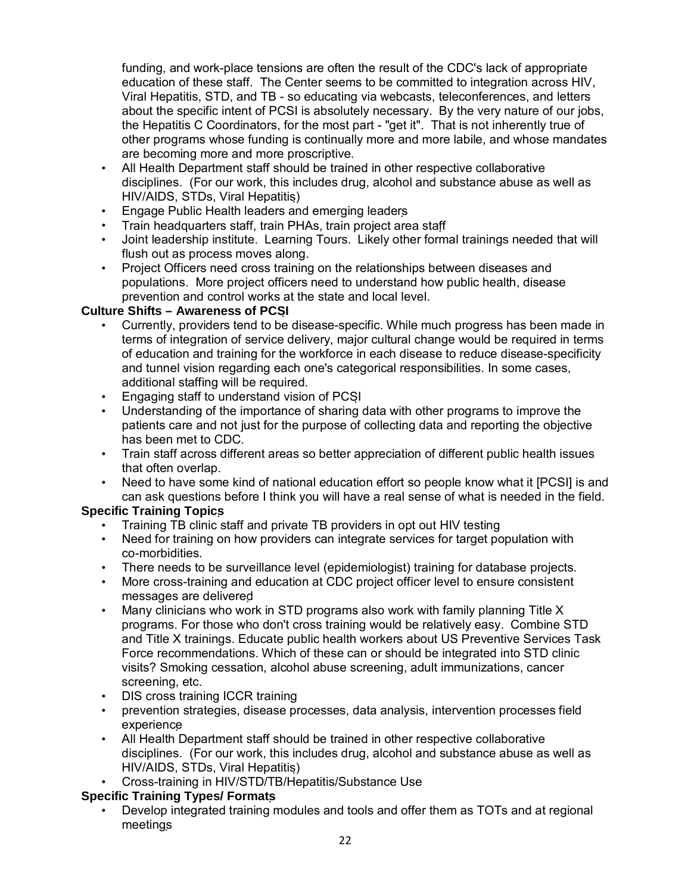funding, and work-place tensions are often the result of the CDC's lack of appropriate education of these staff. The Center seems to be committed to integration across HIV, Viral Hepatitis, STD, and TB - so educating via webcasts, teleconferences, and letters about the specific intent of PCSI is absolutely necessary. By the very nature of our jobs, the Hepatitis C Coordinators, for the most part - "get it". That is not inherently true of other programs whose funding is continually more and more labile, and whose mandates are becoming more and more proscriptive.

- All Health Department staff should be trained in other respective collaborative disciplines. (For our work, this includes drug, alcohol and substance abuse as well as HIV/AIDS, STDs, Viral Hepatitis)
- Engage Public Health leaders and emerging leaders
- Train headquarters staff, train PHAs, train project area staff
- Joint leadership institute. Learning Tours. Likely other formal trainings needed that will flush out as process moves along.
- Project Officers need cross training on the relationships between diseases and populations. More project officers need to understand how public health, disease prevention and control works at the state and local level.

### **Culture Shifts – Awareness of PCSI**

- Currently, providers tend to be disease-specific. While much progress has been made in terms of integration of service delivery, major cultural change would be required in terms of education and training for the workforce in each disease to reduce disease-specificity and tunnel vision regarding each one's categorical responsibilities. In some cases, additional staffing will be required.
- Engaging staff to understand vision of PCSI
- Understanding of the importance of sharing data with other programs to improve the patients care and not just for the purpose of collecting data and reporting the objective has been met to CDC.
- Train staff across different areas so better appreciation of different public health issues that often overlap.
- Need to have some kind of national education effort so people know what it [PCSI] is and can ask questions before I think you will have a real sense of what is needed in the field.

### **Specific Training Topics**

- Training TB clinic staff and private TB providers in opt out HIV testing
- Need for training on how providers can integrate services for target population with co-morbidities.
- There needs to be surveillance level (epidemiologist) training for database projects.
- More cross-training and education at CDC project officer level to ensure consistent messages are delivered
- Many clinicians who work in STD programs also work with family planning Title X programs. For those who don't cross training would be relatively easy. Combine STD and Title X trainings. Educate public health workers about US Preventive Services Task Force recommendations. Which of these can or should be integrated into STD clinic visits? Smoking cessation, alcohol abuse screening, adult immunizations, cancer screening, etc.
- DIS cross training ICCR training
- prevention strategies, disease processes, data analysis, intervention processes field experience
- All Health Department staff should be trained in other respective collaborative disciplines. (For our work, this includes drug, alcohol and substance abuse as well as HIV/AIDS, STDs, Viral Hepatitis)
- Cross-training in HIV/STD/TB/Hepatitis/Substance Use

### **Specific Training Types/ Formats**

• Develop integrated training modules and tools and offer them as TOTs and at regional meetings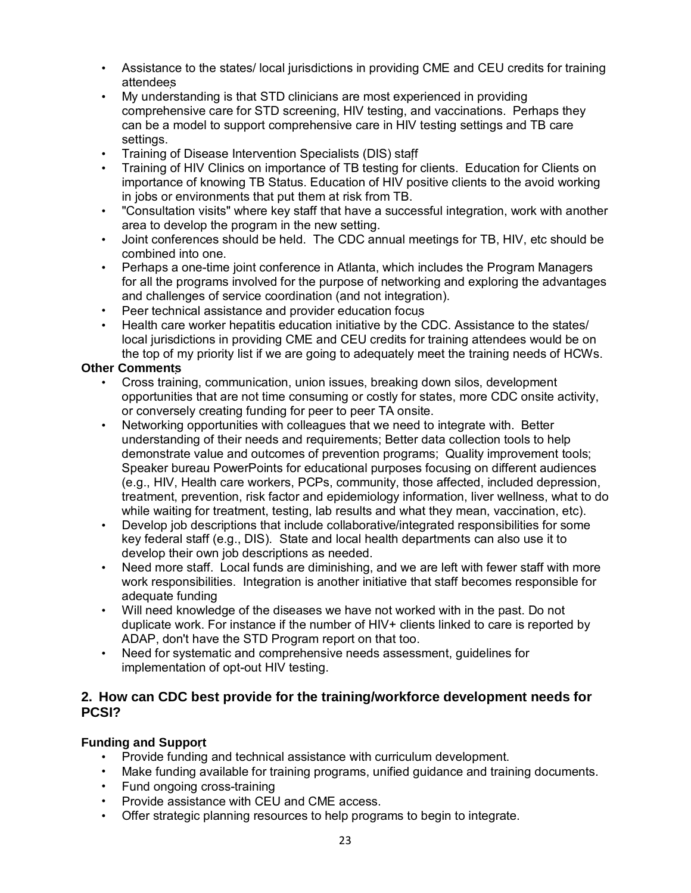- Assistance to the states/ local jurisdictions in providing CME and CEU credits for training attendees
- My understanding is that STD clinicians are most experienced in providing comprehensive care for STD screening, HIV testing, and vaccinations. Perhaps they can be a model to support comprehensive care in HIV testing settings and TB care settings.
- Training of Disease Intervention Specialists (DIS) staff
- Training of HIV Clinics on importance of TB testing for clients. Education for Clients on importance of knowing TB Status. Education of HIV positive clients to the avoid working in jobs or environments that put them at risk from TB.
- "Consultation visits" where key staff that have a successful integration, work with another area to develop the program in the new setting.
- Joint conferences should be held. The CDC annual meetings for TB, HIV, etc should be combined into one.
- Perhaps a one-time joint conference in Atlanta, which includes the Program Managers for all the programs involved for the purpose of networking and exploring the advantages and challenges of service coordination (and not integration).
- Peer technical assistance and provider education focus
- Health care worker hepatitis education initiative by the CDC. Assistance to the states/ local jurisdictions in providing CME and CEU credits for training attendees would be on the top of my priority list if we are going to adequately meet the training needs of HCWs.

#### **Other Comments**

- Cross training, communication, union issues, breaking down silos, development opportunities that are not time consuming or costly for states, more CDC onsite activity, or conversely creating funding for peer to peer TA onsite.
- Networking opportunities with colleagues that we need to integrate with. Better understanding of their needs and requirements; Better data collection tools to help demonstrate value and outcomes of prevention programs; Quality improvement tools; Speaker bureau PowerPoints for educational purposes focusing on different audiences (e.g., HIV, Health care workers, PCPs, community, those affected, included depression, treatment, prevention, risk factor and epidemiology information, liver wellness, what to do while waiting for treatment, testing, lab results and what they mean, vaccination, etc).
- Develop job descriptions that include collaborative/integrated responsibilities for some key federal staff (e.g., DIS). State and local health departments can also use it to develop their own job descriptions as needed.
- Need more staff. Local funds are diminishing, and we are left with fewer staff with more work responsibilities. Integration is another initiative that staff becomes responsible for adequate funding
- Will need knowledge of the diseases we have not worked with in the past. Do not duplicate work. For instance if the number of HIV+ clients linked to care is reported by ADAP, don't have the STD Program report on that too.
- Need for systematic and comprehensive needs assessment, guidelines for implementation of opt-out HIV testing.

#### **2. How can CDC best provide for the training/workforce development needs for PCSI?**

#### **Funding and Support**

- Provide funding and technical assistance with curriculum development.
- Make funding available for training programs, unified guidance and training documents.
- Fund ongoing cross-training
- Provide assistance with CEU and CME access.
- Offer strategic planning resources to help programs to begin to integrate.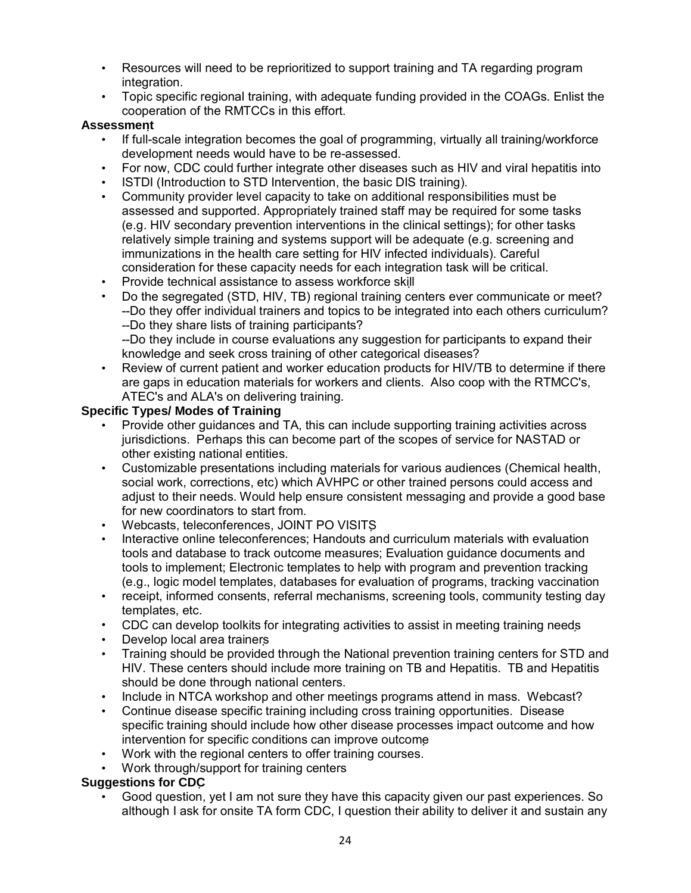- Resources will need to be reprioritized to support training and TA regarding program integration.
- Topic specific regional training, with adequate funding provided in the COAGs. Enlist the cooperation of the RMTCCs in this effort.

### **Assessment**

- If full-scale integration becomes the goal of programming, virtually all training/workforce development needs would have to be re-assessed.
- For now, CDC could further integrate other diseases such as HIV and viral hepatitis into
- ISTDI (Introduction to STD Intervention, the basic DIS training).
- Community provider level capacity to take on additional responsibilities must be assessed and supported. Appropriately trained staff may be required for some tasks (e.g. HIV secondary prevention interventions in the clinical settings); for other tasks relatively simple training and systems support will be adequate (e.g. screening and immunizations in the health care setting for HIV infected individuals). Careful consideration for these capacity needs for each integration task will be critical.
- Provide technical assistance to assess workforce skill
- Do the segregated (STD, HIV, TB) regional training centers ever communicate or meet? --Do they offer individual trainers and topics to be integrated into each others curriculum? --Do they share lists of training participants?

--Do they include in course evaluations any suggestion for participants to expand their knowledge and seek cross training of other categorical diseases?

• Review of current patient and worker education products for HIV/TB to determine if there are gaps in education materials for workers and clients. Also coop with the RTMCC's, ATEC's and ALA's on delivering training.

#### **Specific Types/ Modes of Training**

- Provide other guidances and TA, this can include supporting training activities across jurisdictions. Perhaps this can become part of the scopes of service for NASTAD or other existing national entities.
- Customizable presentations including materials for various audiences (Chemical health, social work, corrections, etc) which AVHPC or other trained persons could access and adjust to their needs. Would help ensure consistent messaging and provide a good base for new coordinators to start from.
- Webcasts, teleconferences, JOINT PO VISITS
- Interactive online teleconferences; Handouts and curriculum materials with evaluation tools and database to track outcome measures; Evaluation guidance documents and tools to implement; Electronic templates to help with program and prevention tracking (e.g., logic model templates, databases for evaluation of programs, tracking vaccination
- receipt, informed consents, referral mechanisms, screening tools, community testing day templates, etc.
- CDC can develop toolkits for integrating activities to assist in meeting training needs
- Develop local area trainers
- Training should be provided through the National prevention training centers for STD and HIV. These centers should include more training on TB and Hepatitis. TB and Hepatitis should be done through national centers.
- Include in NTCA workshop and other meetings programs attend in mass. Webcast?
- Continue disease specific training including cross training opportunities. Disease specific training should include how other disease processes impact outcome and how intervention for specific conditions can improve outcome
- Work with the regional centers to offer training courses.
- Work through/support for training centers

### **Suggestions for CDC**

• Good question, yet I am not sure they have this capacity given our past experiences. So although I ask for onsite TA form CDC, I question their ability to deliver it and sustain any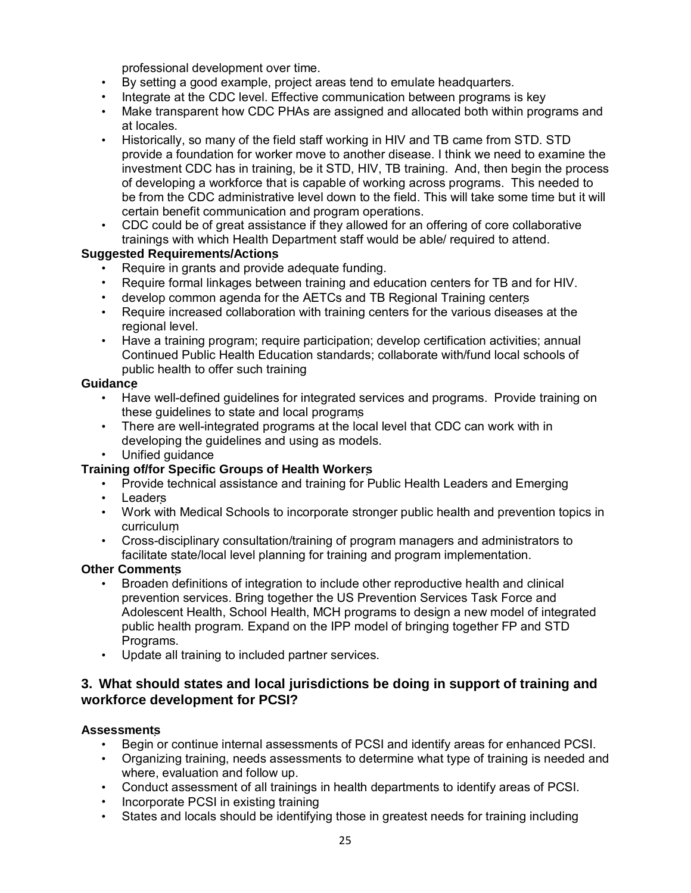professional development over time.

- By setting a good example, project areas tend to emulate headquarters.
- Integrate at the CDC level. Effective communication between programs is key
- Make transparent how CDC PHAs are assigned and allocated both within programs and at locales.
- Historically, so many of the field staff working in HIV and TB came from STD. STD provide a foundation for worker move to another disease. I think we need to examine the investment CDC has in training, be it STD, HIV, TB training. And, then begin the process of developing a workforce that is capable of working across programs. This needed to be from the CDC administrative level down to the field. This will take some time but it will certain benefit communication and program operations.
- CDC could be of great assistance if they allowed for an offering of core collaborative trainings with which Health Department staff would be able/ required to attend.

#### **Suggested Requirements/Actions**

- Require in grants and provide adequate funding.
- Require formal linkages between training and education centers for TB and for HIV.
- develop common agenda for the AETCs and TB Regional Training centers
- Require increased collaboration with training centers for the various diseases at the regional level.
- Have a training program; require participation; develop certification activities; annual Continued Public Health Education standards; collaborate with/fund local schools of public health to offer such training

#### **Guidance**

- Have well-defined guidelines for integrated services and programs. Provide training on these guidelines to state and local programs
- There are well-integrated programs at the local level that CDC can work with in developing the guidelines and using as models.
- Unified quidance

### **Training of/for Specific Groups of Health Workers**

- Provide technical assistance and training for Public Health Leaders and Emerging
- Leaders
- Work with Medical Schools to incorporate stronger public health and prevention topics in curriculum
- Cross-disciplinary consultation/training of program managers and administrators to facilitate state/local level planning for training and program implementation.

#### **Other Comments**

- Broaden definitions of integration to include other reproductive health and clinical prevention services. Bring together the US Prevention Services Task Force and Adolescent Health, School Health, MCH programs to design a new model of integrated public health program. Expand on the IPP model of bringing together FP and STD Programs.
- Update all training to included partner services.

## **3. What should states and local jurisdictions be doing in support of training and workforce development for PCSI?**

#### **Assessments**

- Begin or continue internal assessments of PCSI and identify areas for enhanced PCSI.
- Organizing training, needs assessments to determine what type of training is needed and where, evaluation and follow up.
- Conduct assessment of all trainings in health departments to identify areas of PCSI.
- Incorporate PCSI in existing training
- States and locals should be identifying those in greatest needs for training including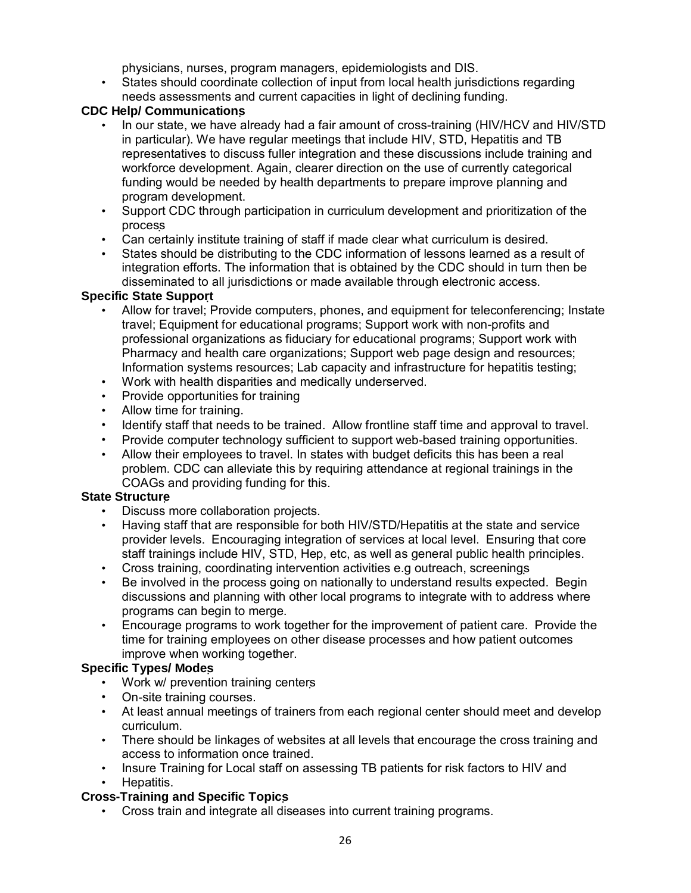physicians, nurses, program managers, epidemiologists and DIS.

• States should coordinate collection of input from local health jurisdictions regarding needs assessments and current capacities in light of declining funding.

## **CDC Help/ Communications**

- In our state, we have already had a fair amount of cross-training (HIV/HCV and HIV/STD in particular). We have regular meetings that include HIV, STD, Hepatitis and TB representatives to discuss fuller integration and these discussions include training and workforce development. Again, clearer direction on the use of currently categorical funding would be needed by health departments to prepare improve planning and program development.
- Support CDC through participation in curriculum development and prioritization of the process
- Can certainly institute training of staff if made clear what curriculum is desired.
- States should be distributing to the CDC information of lessons learned as a result of integration efforts. The information that is obtained by the CDC should in turn then be disseminated to all jurisdictions or made available through electronic access.

## **Specific State Support**

- Allow for travel; Provide computers, phones, and equipment for teleconferencing; Instate travel; Equipment for educational programs; Support work with non-profits and professional organizations as fiduciary for educational programs; Support work with Pharmacy and health care organizations; Support web page design and resources; Information systems resources; Lab capacity and infrastructure for hepatitis testing;
- Work with health disparities and medically underserved.
- Provide opportunities for training
- Allow time for training.
- Identify staff that needs to be trained. Allow frontline staff time and approval to travel.
- Provide computer technology sufficient to support web-based training opportunities.
- Allow their employees to travel. In states with budget deficits this has been a real problem. CDC can alleviate this by requiring attendance at regional trainings in the COAGs and providing funding for this.

### **State Structure**

- Discuss more collaboration projects.
- Having staff that are responsible for both HIV/STD/Hepatitis at the state and service provider levels. Encouraging integration of services at local level. Ensuring that core staff trainings include HIV, STD, Hep, etc, as well as general public health principles.
- Cross training, coordinating intervention activities e.g outreach, screenings
- Be involved in the process going on nationally to understand results expected. Begin discussions and planning with other local programs to integrate with to address where programs can begin to merge.
- Encourage programs to work together for the improvement of patient care. Provide the time for training employees on other disease processes and how patient outcomes improve when working together.

## **Specific Types/ Modes**

- Work w/ prevention training centers
- On-site training courses.
- At least annual meetings of trainers from each regional center should meet and develop curriculum.
- There should be linkages of websites at all levels that encourage the cross training and access to information once trained.
- Insure Training for Local staff on assessing TB patients for risk factors to HIV and • Hepatitis.

### **Cross-Training and Specific Topics**

• Cross train and integrate all diseases into current training programs.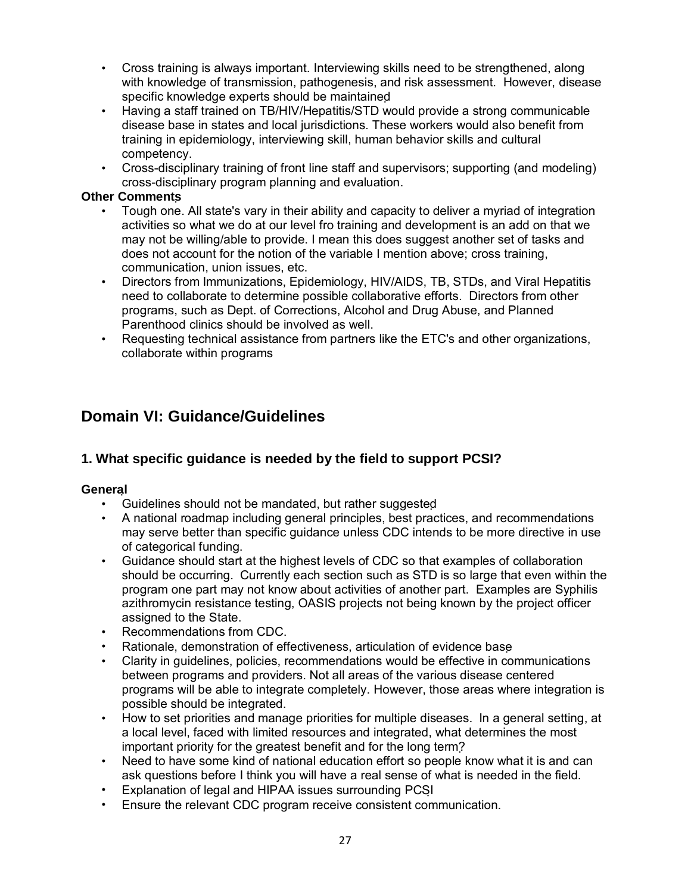- Cross training is always important. Interviewing skills need to be strengthened, along with knowledge of transmission, pathogenesis, and risk assessment. However, disease specific knowledge experts should be maintained
- Having a staff trained on TB/HIV/Hepatitis/STD would provide a strong communicable disease base in states and local jurisdictions. These workers would also benefit from training in epidemiology, interviewing skill, human behavior skills and cultural competency.
- Cross-disciplinary training of front line staff and supervisors; supporting (and modeling) cross-disciplinary program planning and evaluation.

#### **Other Comments**

- Tough one. All state's vary in their ability and capacity to deliver a myriad of integration activities so what we do at our level fro training and development is an add on that we may not be willing/able to provide. I mean this does suggest another set of tasks and does not account for the notion of the variable I mention above; cross training, communication, union issues, etc.
- Directors from Immunizations, Epidemiology, HIV/AIDS, TB, STDs, and Viral Hepatitis need to collaborate to determine possible collaborative efforts. Directors from other programs, such as Dept. of Corrections, Alcohol and Drug Abuse, and Planned Parenthood clinics should be involved as well.
- Requesting technical assistance from partners like the ETC's and other organizations, collaborate within programs

# **Domain VI: Guidance/Guidelines**

## **1. What specific guidance is needed by the field to support PCSI?**

#### **General**

- Guidelines should not be mandated, but rather suggested
- A national roadmap including general principles, best practices, and recommendations may serve better than specific guidance unless CDC intends to be more directive in use of categorical funding.
- Guidance should start at the highest levels of CDC so that examples of collaboration should be occurring. Currently each section such as STD is so large that even within the program one part may not know about activities of another part. Examples are Syphilis azithromycin resistance testing, OASIS projects not being known by the project officer assigned to the State.
- Recommendations from CDC.
- Rationale, demonstration of effectiveness, articulation of evidence base
- Clarity in guidelines, policies, recommendations would be effective in communications between programs and providers. Not all areas of the various disease centered programs will be able to integrate completely. However, those areas where integration is possible should be integrated.
- How to set priorities and manage priorities for multiple diseases. In a general setting, at a local level, faced with limited resources and integrated, what determines the most important priority for the greatest benefit and for the long term?
- Need to have some kind of national education effort so people know what it is and can ask questions before I think you will have a real sense of what is needed in the field.
- Explanation of legal and HIPAA issues surrounding PCSI
- Ensure the relevant CDC program receive consistent communication.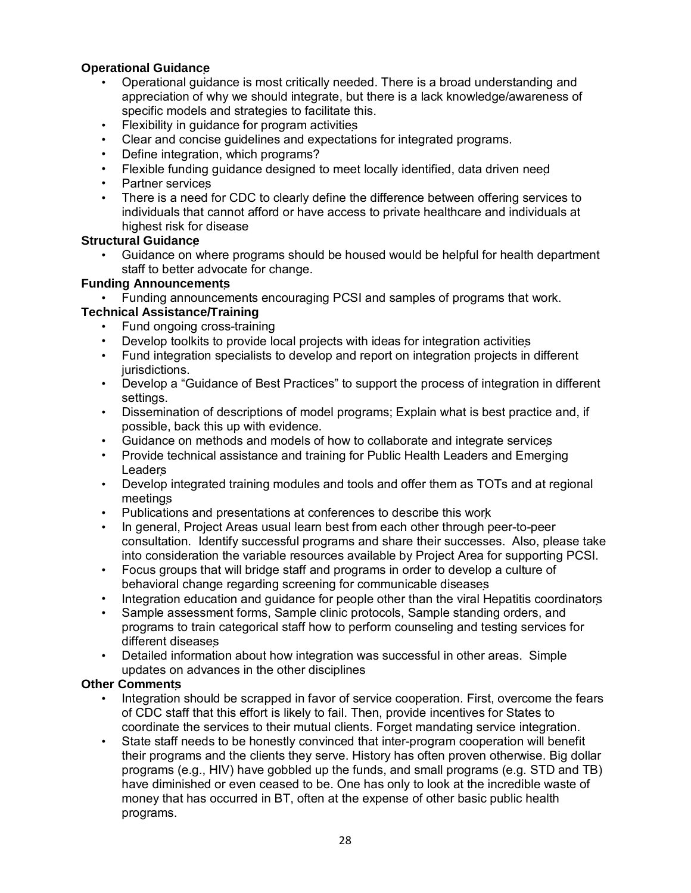### **Operational Guidance**

- Operational guidance is most critically needed. There is a broad understanding and appreciation of why we should integrate, but there is a lack knowledge/awareness of specific models and strategies to facilitate this.
- Flexibility in guidance for program activities
- Clear and concise guidelines and expectations for integrated programs.
- Define integration, which programs?
- Flexible funding guidance designed to meet locally identified, data driven need
- Partner services
- There is a need for CDC to clearly define the difference between offering services to individuals that cannot afford or have access to private healthcare and individuals at highest risk for disease

#### **Structural Guidance**

• Guidance on where programs should be housed would be helpful for health department staff to better advocate for change.

### **Funding Announcements**

• Funding announcements encouraging PCSI and samples of programs that work.

### **Technical Assistance/Training**

- Fund ongoing cross-training
- Develop toolkits to provide local projects with ideas for integration activities
- Fund integration specialists to develop and report on integration projects in different jurisdictions.
- Develop a "Guidance of Best Practices" to support the process of integration in different settings.
- Dissemination of descriptions of model programs; Explain what is best practice and, if possible, back this up with evidence.
- Guidance on methods and models of how to collaborate and integrate services
- Provide technical assistance and training for Public Health Leaders and Emerging Leaders
- Develop integrated training modules and tools and offer them as TOTs and at regional meetings
- Publications and presentations at conferences to describe this work
- In general, Project Areas usual learn best from each other through peer-to-peer consultation. Identify successful programs and share their successes. Also, please take into consideration the variable resources available by Project Area for supporting PCSI.
- Focus groups that will bridge staff and programs in order to develop a culture of behavioral change regarding screening for communicable diseases
- Integration education and guidance for people other than the viral Hepatitis coordinators
- Sample assessment forms, Sample clinic protocols, Sample standing orders, and programs to train categorical staff how to perform counseling and testing services for different diseases
- Detailed information about how integration was successful in other areas. Simple updates on advances in the other disciplines

### **Other Comments**

- Integration should be scrapped in favor of service cooperation. First, overcome the fears of CDC staff that this effort is likely to fail. Then, provide incentives for States to coordinate the services to their mutual clients. Forget mandating service integration.
- State staff needs to be honestly convinced that inter-program cooperation will benefit their programs and the clients they serve. History has often proven otherwise. Big dollar programs (e.g., HIV) have gobbled up the funds, and small programs (e.g. STD and TB) have diminished or even ceased to be. One has only to look at the incredible waste of money that has occurred in BT, often at the expense of other basic public health programs.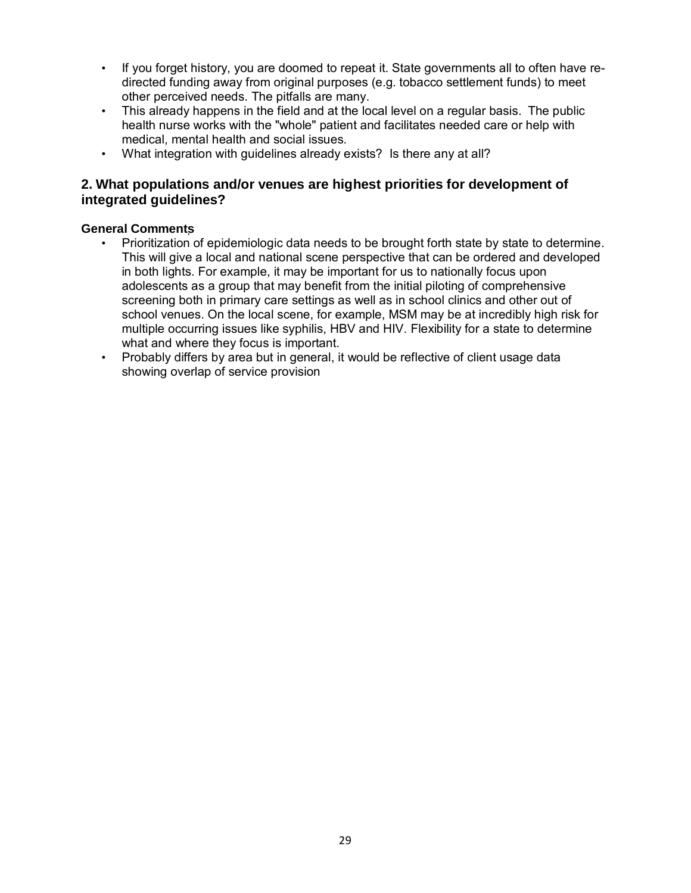- If you forget history, you are doomed to repeat it. State governments all to often have redirected funding away from original purposes (e.g. tobacco settlement funds) to meet other perceived needs. The pitfalls are many.
- This already happens in the field and at the local level on a regular basis. The public health nurse works with the "whole" patient and facilitates needed care or help with medical, mental health and social issues.
- What integration with guidelines already exists? Is there any at all?

### **2. What populations and/or venues are highest priorities for development of integrated guidelines?**

#### **General Comments**

- Prioritization of epidemiologic data needs to be brought forth state by state to determine. This will give a local and national scene perspective that can be ordered and developed in both lights. For example, it may be important for us to nationally focus upon adolescents as a group that may benefit from the initial piloting of comprehensive screening both in primary care settings as well as in school clinics and other out of school venues. On the local scene, for example, MSM may be at incredibly high risk for multiple occurring issues like syphilis, HBV and HIV. Flexibility for a state to determine what and where they focus is important.
- Probably differs by area but in general, it would be reflective of client usage data showing overlap of service provision